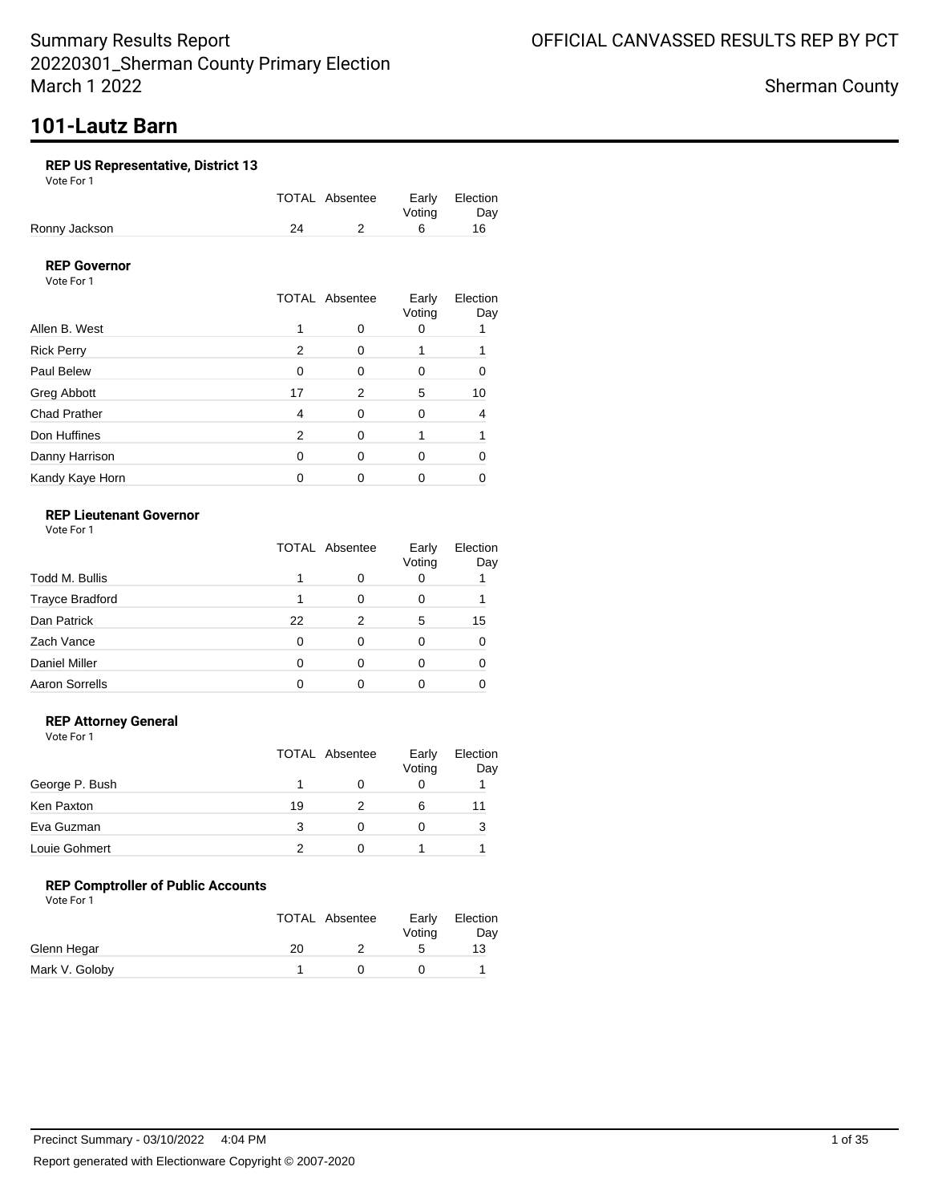# March 1 2022

Sherman County

# **101-Lautz Barn**

Summary Results Report

### **REP US Representative, District 13**

Vote For 1

|               |    | TOTAL Absentee |        | Early Election |
|---------------|----|----------------|--------|----------------|
|               |    |                | Votina | Day            |
| Ronny Jackson | 24 |                |        | 16.            |

### **REP Governor**

Vote For 1

|                     |          | <b>TOTAL Absentee</b> | Early<br>Voting | Election<br>Day |
|---------------------|----------|-----------------------|-----------------|-----------------|
| Allen B. West       |          | 0                     |                 |                 |
| <b>Rick Perry</b>   | 2        | 0                     |                 |                 |
| Paul Belew          | $\Omega$ | $\Omega$              | 0               |                 |
| Greg Abbott         | 17       | 2                     | 5               | 10              |
| <b>Chad Prather</b> | 4        | 0                     | 0               |                 |
| Don Huffines        | 2        | $\Omega$              |                 |                 |
| Danny Harrison      | 0        | 0                     | O               |                 |
| Kandy Kaye Horn     |          |                       |                 |                 |

### **REP Lieutenant Governor**

Vote For 1

|                        | <b>TOTAL Absentee</b> |   | Early<br>Voting | Election<br>Day |
|------------------------|-----------------------|---|-----------------|-----------------|
| Todd M. Bullis         |                       |   | O               |                 |
| <b>Trayce Bradford</b> |                       | 0 |                 |                 |
| Dan Patrick            | 22                    | 2 | 5               | 15              |
| Zach Vance             | 0                     | 0 |                 |                 |
| <b>Daniel Miller</b>   | O                     | O |                 |                 |
| <b>Aaron Sorrells</b>  | n                     |   |                 |                 |

### **REP Attorney General**

Vote For 1

|                |    | TOTAL Absentee | Early<br>Voting | Election<br>Day |
|----------------|----|----------------|-----------------|-----------------|
| George P. Bush |    |                |                 |                 |
| Ken Paxton     | 19 | 2              | 6               |                 |
| Eva Guzman     | 3  | 0              |                 | 3               |
| Louie Gohmert  |    |                |                 |                 |

### **REP Comptroller of Public Accounts**

|                | TOTAL Absentee | Early<br>Votina | Election<br>Day |
|----------------|----------------|-----------------|-----------------|
| Glenn Hegar    | 20             | ∽               | 13              |
| Mark V. Goloby |                |                 |                 |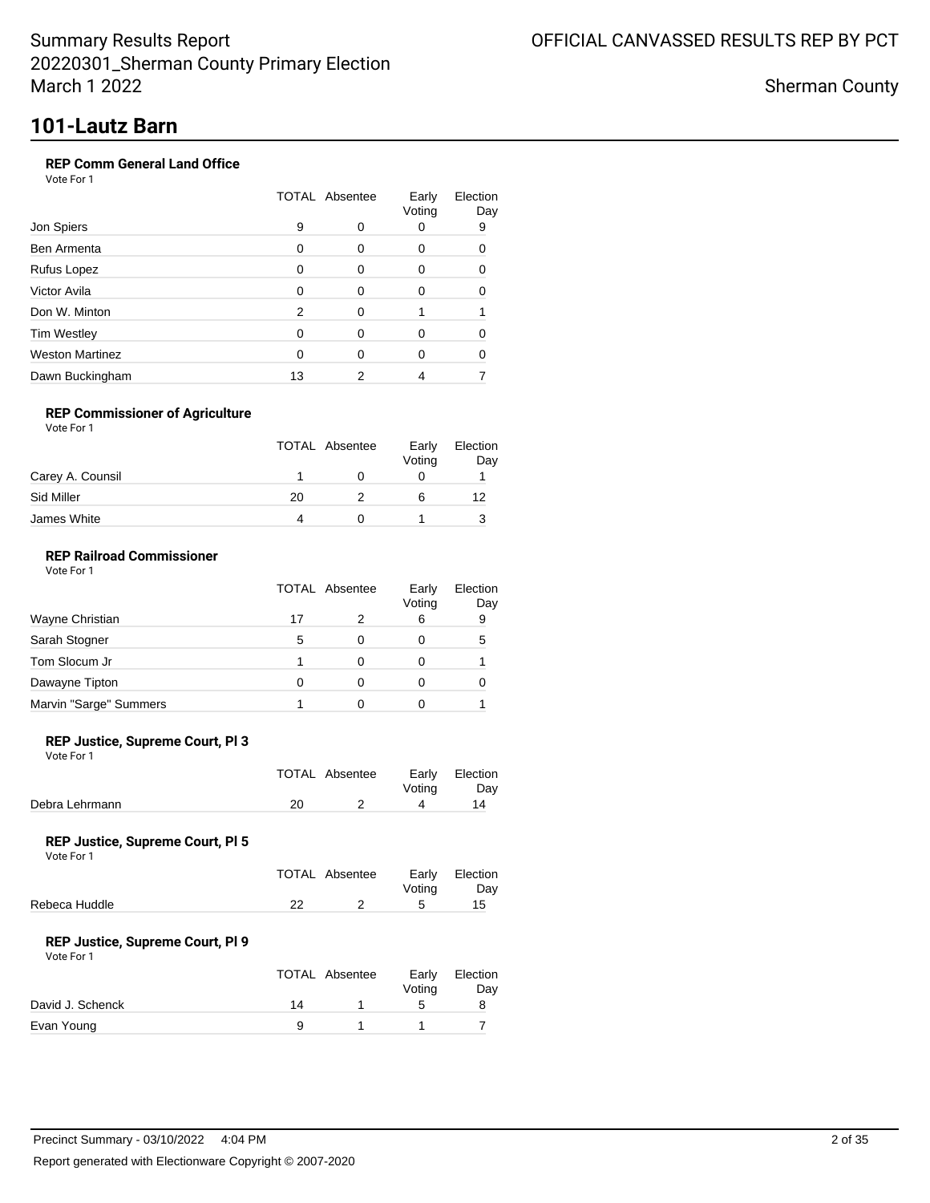Sherman County

# **101-Lautz Barn**

### **REP Comm General Land Office**

Vote For 1

| Jon Spiers             |    | <b>TOTAL Absentee</b> |        | Election<br>Day |
|------------------------|----|-----------------------|--------|-----------------|
|                        | 9  | O                     | Voting | 9               |
| Ben Armenta            | 0  | O                     | O      | O               |
| Rufus Lopez            | 0  | O                     |        |                 |
| Victor Avila           | O  | O                     |        |                 |
| Don W. Minton          | 2  | O                     |        |                 |
| <b>Tim Westley</b>     | 0  | O                     | O      |                 |
| <b>Weston Martinez</b> | 0  | O                     | 0      |                 |
| Dawn Buckingham        | 13 |                       |        |                 |

### **REP Commissioner of Agriculture**

Vote For 1

|                  |    | <b>TOTAL Absentee</b> | Early<br>Voting | Election<br>Day |
|------------------|----|-----------------------|-----------------|-----------------|
| Carey A. Counsil |    |                       |                 |                 |
| Sid Miller       | 20 |                       |                 | 12              |
| James White      | Δ  |                       |                 |                 |

### **REP Railroad Commissioner**

Vote For 1

|                        | <b>TOTAL Absentee</b> |   | Early<br>Voting | Election<br>Day |
|------------------------|-----------------------|---|-----------------|-----------------|
| Wayne Christian        | 17                    |   | 6               | 9               |
| Sarah Stogner          | 5                     | 0 |                 | 5               |
| Tom Slocum Jr          |                       |   |                 |                 |
| Dawayne Tipton         | O                     |   |                 |                 |
| Marvin "Sarge" Summers |                       |   |                 |                 |

#### **REP Justice, Supreme Court, Pl 3**

Vote For 1

|                | TOTAL Absentee | Votina | Early Election<br>Day |
|----------------|----------------|--------|-----------------------|
| Debra Lehrmann |                |        | 14                    |
|                |                |        |                       |

#### **REP Justice, Supreme Court, Pl 5**

Vote For 1

|               | TOTAL Absentee | Votina | Early Election<br>Dav |
|---------------|----------------|--------|-----------------------|
| Rebeca Huddle |                |        | 15                    |
|               |                |        |                       |

### **REP Justice, Supreme Court, Pl 9**

|                  |    | TOTAL Absentee | Early<br>Votina | Election<br>Day |
|------------------|----|----------------|-----------------|-----------------|
| David J. Schenck | 14 |                | ∽               |                 |
| Evan Young       |    |                |                 |                 |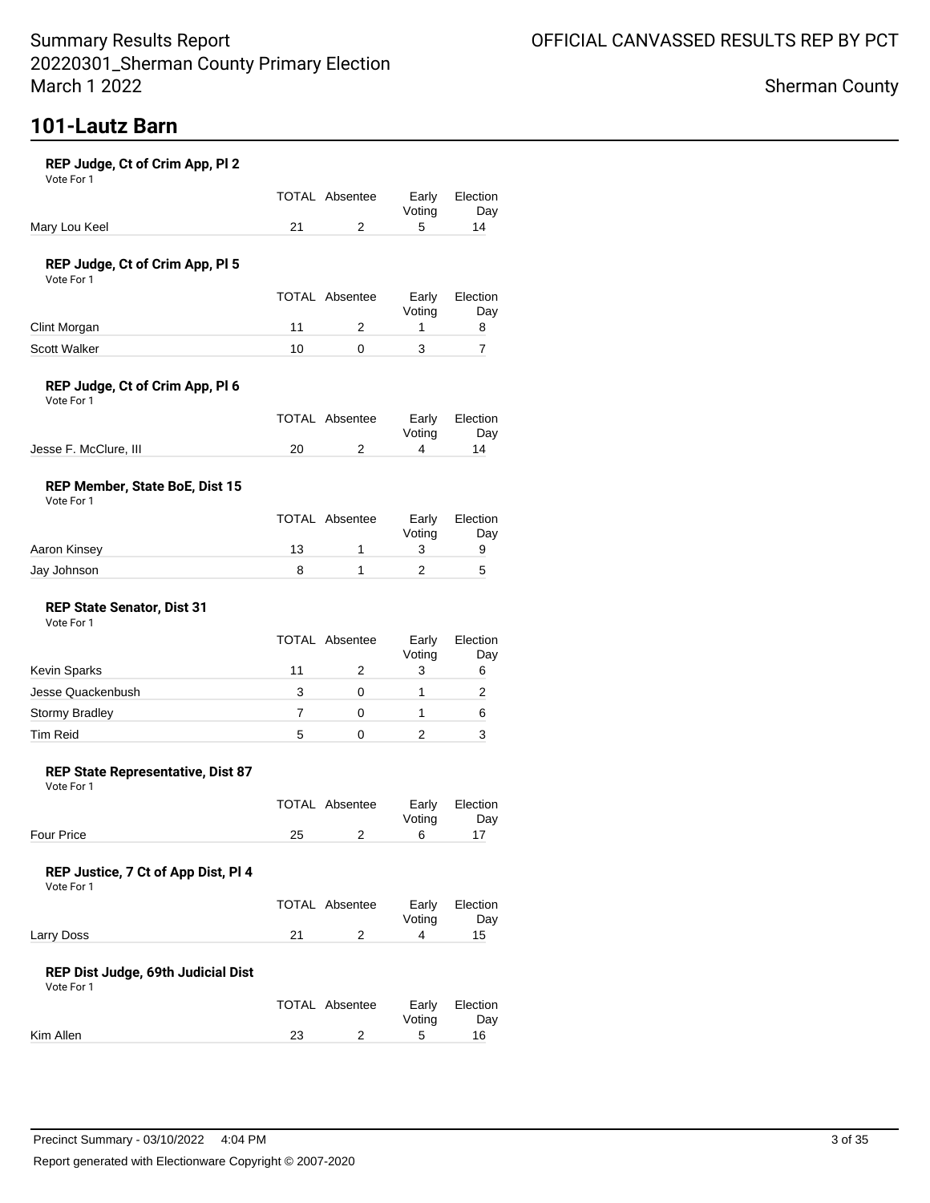# **101-Lautz Barn**

#### **REP Judge, Ct of Crim App, Pl 2**

Vote For 1

|               | TOTAL Absentee | Early Election |     |
|---------------|----------------|----------------|-----|
|               |                | Votina         | Dav |
| Mary Lou Keel |                |                | 14  |

#### **REP Judge, Ct of Crim App, Pl 5**

Vote For 1

|              |    | <b>TOTAL Absentee</b> | Early<br>Votina | Election<br>Day |
|--------------|----|-----------------------|-----------------|-----------------|
| Clint Morgan |    |                       |                 |                 |
| Scott Walker | 10 |                       |                 |                 |

### **REP Judge, Ct of Crim App, Pl 6**

Vote For 1

|                       | TOTAL Absentee |        | Early Election |
|-----------------------|----------------|--------|----------------|
|                       |                | Votina | Dav            |
| Jesse F. McClure, III |                |        | 14             |

### **REP Member, State BoE, Dist 15**

Vote For 1

|              | TOTAL Absentee | Early<br>Votina | Election<br>Day |
|--------------|----------------|-----------------|-----------------|
| Aaron Kinsey | 13             |                 |                 |
| Jay Johnson  |                |                 | .5              |

#### **REP State Senator, Dist 31** Vote For 1

|                       |    | TOTAL Absentee | Early<br>Voting | Election<br>Day |
|-----------------------|----|----------------|-----------------|-----------------|
| Kevin Sparks          | 11 |                | 3               | 6               |
| Jesse Quackenbush     | 3  |                |                 |                 |
| <b>Stormy Bradley</b> |    |                |                 | 6               |
| <b>Tim Reid</b>       | 5  |                |                 |                 |

#### **REP State Representative, Dist 87**

Vote For 1

|                   |    | TOTAL Absentee | Early Election |     |
|-------------------|----|----------------|----------------|-----|
|                   |    |                | Votina         | Day |
| <b>Four Price</b> | 25 |                |                |     |

### **REP Justice, 7 Ct of App Dist, Pl 4**

Vote For 1

|            | TOTAL Absentee | Early Election |     |
|------------|----------------|----------------|-----|
|            |                | Votina         | Day |
| Larry Doss |                |                | 15  |

#### **REP Dist Judge, 69th Judicial Dist**

|           | TOTAL Absentee | Votina | Early Election<br>Day |
|-----------|----------------|--------|-----------------------|
| Kim Allen |                |        | 16                    |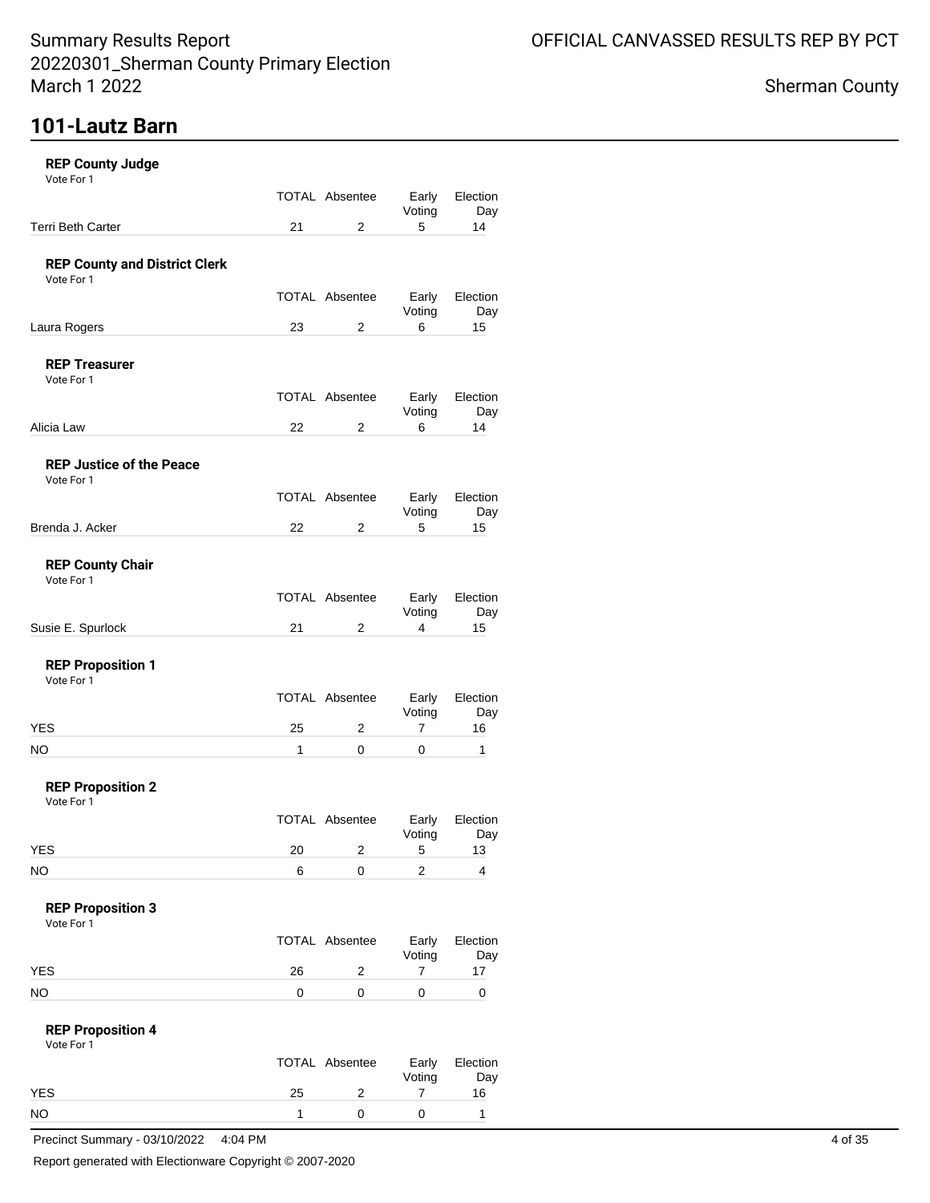## **101-Lautz Barn**

| <b>REP County Judge</b><br>Vote For 1              |    |                       |                 |                 |
|----------------------------------------------------|----|-----------------------|-----------------|-----------------|
|                                                    |    | <b>TOTAL Absentee</b> | Early           | Election        |
| <b>Terri Beth Carter</b>                           | 21 | 2                     | Voting<br>5     | Day<br>14       |
| <b>REP County and District Clerk</b><br>Vote For 1 |    |                       |                 |                 |
|                                                    |    | <b>TOTAL Absentee</b> | Early<br>Voting | Election<br>Day |
| Laura Rogers                                       | 23 | 2                     | 6               | 15              |
| <b>REP Treasurer</b><br>Vote For 1                 |    |                       |                 |                 |
|                                                    |    | <b>TOTAL Absentee</b> | Early<br>Voting | Election<br>Day |
| Alicia Law                                         | 22 | 2                     | 6               | 14              |
| <b>REP Justice of the Peace</b><br>Vote For 1      |    |                       |                 |                 |
|                                                    |    | <b>TOTAL Absentee</b> | Early<br>Voting | Election<br>Day |
| Brenda J. Acker                                    | 22 | 2                     | 5               | 15              |
| <b>REP County Chair</b><br>Vote For 1              |    |                       |                 |                 |
|                                                    |    | <b>TOTAL Absentee</b> | Early<br>Voting | Election<br>Day |
| Susie E. Spurlock                                  | 21 | 2                     | 4               | 15              |
| <b>REP Proposition 1</b><br>Vote For 1             |    |                       |                 |                 |
|                                                    |    | <b>TOTAL Absentee</b> | Early<br>Voting | Election<br>Day |
| YES                                                | 25 | 2                     | 7               | 16              |
| NO                                                 | 1  | 0                     | 0               | 1               |
| <b>REP Proposition 2</b><br>Vote For 1             |    |                       |                 |                 |
|                                                    |    | <b>TOTAL Absentee</b> | Early<br>Voting | Election<br>Day |
| <b>YES</b>                                         | 20 | 2                     | 5               | 13              |
| NO.                                                | 6  | 0                     | $\overline{2}$  | 4               |
| <b>REP Proposition 3</b><br>Vote For 1             |    |                       |                 |                 |
|                                                    |    | <b>TOTAL Absentee</b> | Early<br>Voting | Election<br>Day |
| <b>YES</b>                                         | 26 | 2                     | 7               | 17              |
| NO.                                                | 0  | 0                     | 0               | 0               |
| <b>REP Proposition 4</b><br>Vote For 1             |    |                       |                 |                 |
|                                                    |    | <b>TOTAL Absentee</b> | Early<br>Voting | Election<br>Day |
| <b>YES</b>                                         | 25 | 2                     | 7               | 16              |
| <b>NO</b>                                          | 1  | 0                     | 0               | 1               |

Precinct Summary - 03/10/2022 4:04 PM 4 of 35

Report generated with Electionware Copyright © 2007-2020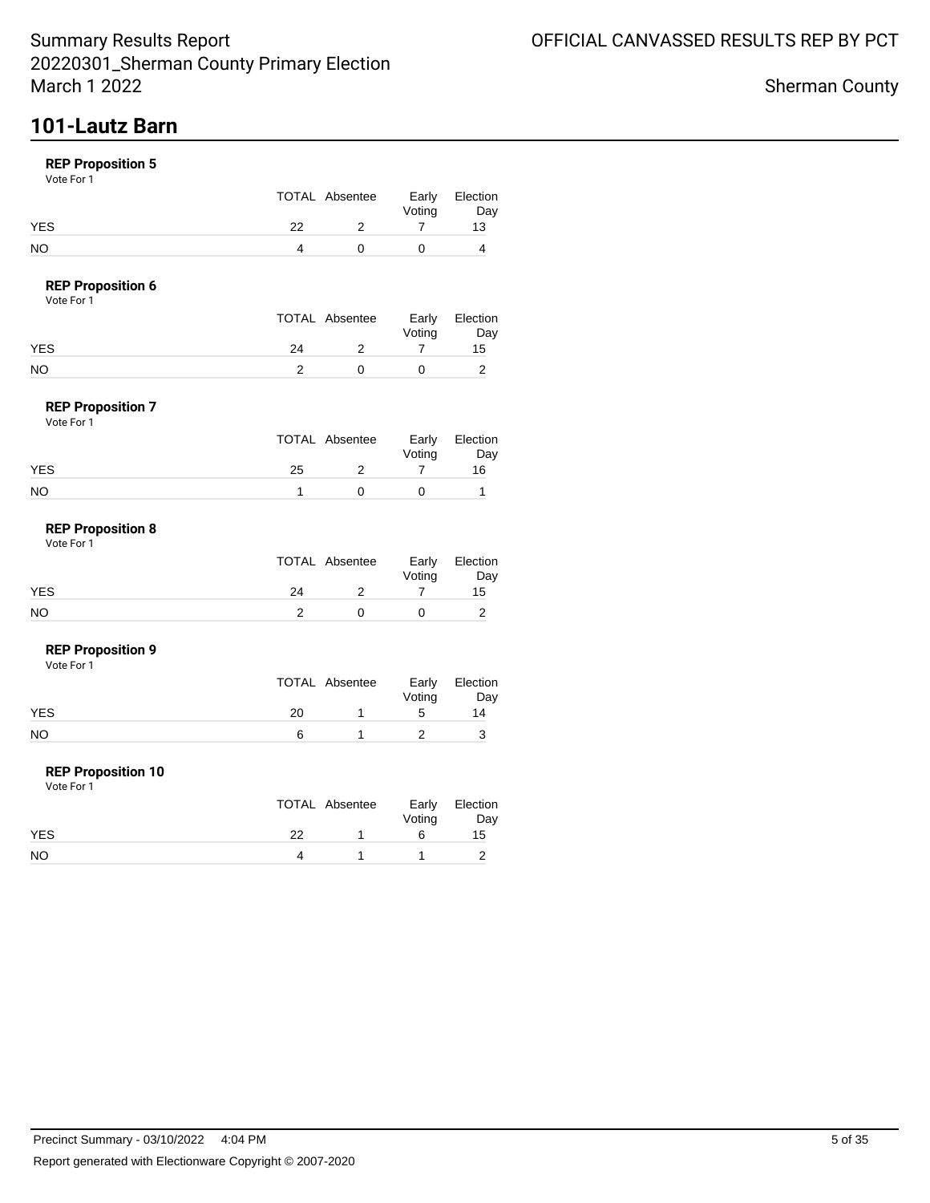## **101-Lautz Barn**

### **REP Proposition 5**

Vote For 1

|            |    | TOTAL Absentee | Early<br>Voting | Election<br>Day |
|------------|----|----------------|-----------------|-----------------|
| <b>YES</b> | つつ |                |                 | 13              |
| NO         |    |                |                 |                 |

### **REP Proposition 6**

Vote For 1

|            |    | TOTAL Absentee | Early<br>Voting | Election<br>Day |
|------------|----|----------------|-----------------|-----------------|
| <b>YES</b> | 24 |                |                 | 15              |
| NO         |    |                |                 |                 |

#### **REP Proposition 7** Vote For 1

| .          |    |                |                 |                 |
|------------|----|----------------|-----------------|-----------------|
|            |    | TOTAL Absentee | Early<br>Voting | Election<br>Day |
| <b>YES</b> | 25 |                |                 | 16              |
| <b>NO</b>  |    |                |                 |                 |

#### **REP Proposition 8** Vote For 1

|            |    | TOTAL Absentee | Voting | Early Election<br>Day |
|------------|----|----------------|--------|-----------------------|
| <b>YES</b> | 24 |                |        | 15                    |
| NO         |    |                |        |                       |

#### **REP Proposition 9**

Vote For 1

|     |    | TOTAL Absentee | Voting | Early Election<br>Day |
|-----|----|----------------|--------|-----------------------|
| YES | 20 |                | ∽      | 14                    |
| NO  |    |                |        |                       |

#### **REP Proposition 10**

|            |    | TOTAL Absentee | Voting | Early Election<br>Day |
|------------|----|----------------|--------|-----------------------|
| <b>YES</b> | つつ |                |        | 15                    |
| <b>NO</b>  |    |                |        |                       |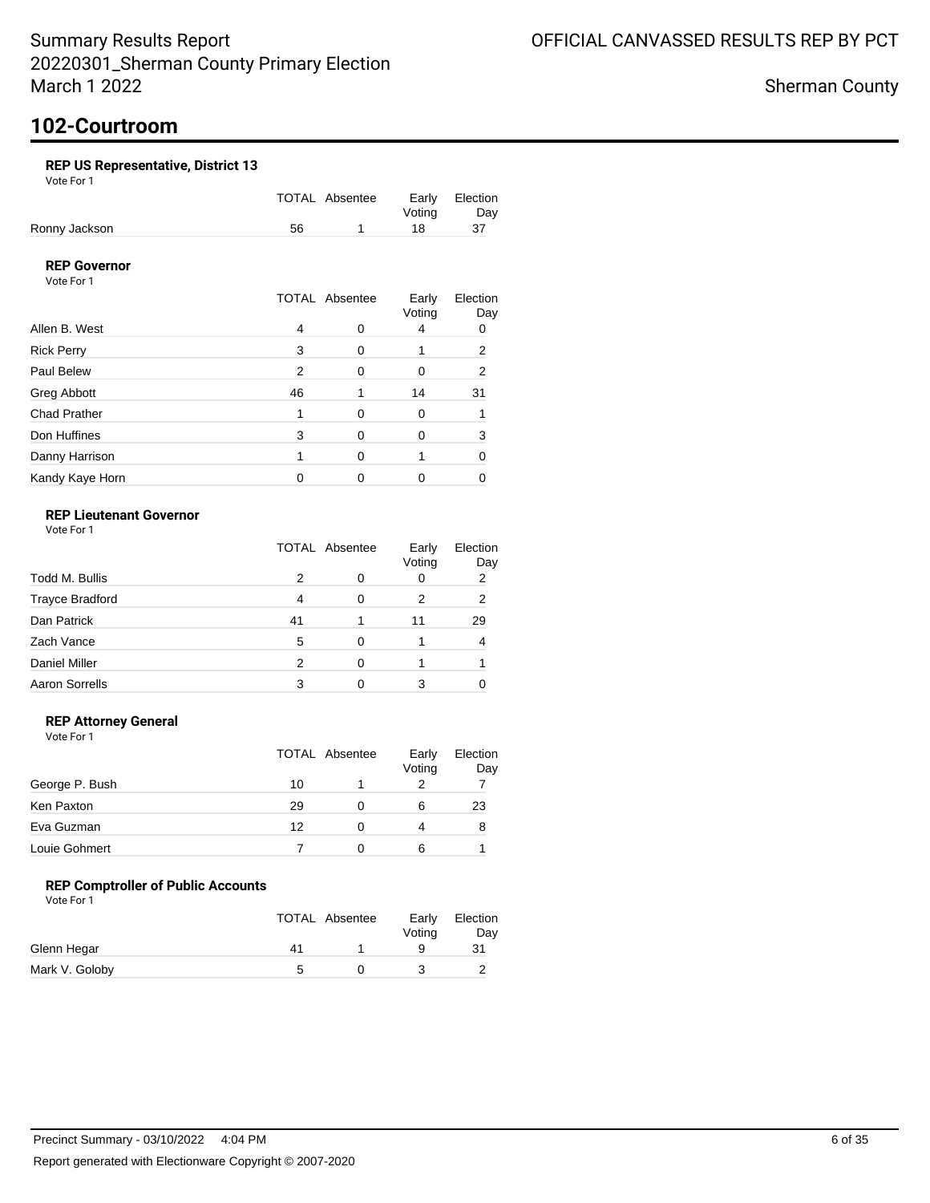## **102-Courtroom**

### **REP US Representative, District 13**

Vote For 1

|               |    | TOTAL Absentee | Early Election |     |
|---------------|----|----------------|----------------|-----|
|               |    |                | Votina         | Dav |
| Ronny Jackson | 56 |                | 18.            |     |

### **REP Governor**

Vote For 1

|                     |    | <b>TOTAL Absentee</b> | Early<br>Voting | Election<br>Day |
|---------------------|----|-----------------------|-----------------|-----------------|
| Allen B. West       | 4  |                       |                 | 0               |
| <b>Rick Perry</b>   | 3  | 0                     |                 | 2               |
| Paul Belew          | 2  | $\Omega$              | Ω               | 2               |
| Greg Abbott         | 46 |                       | 14              | 31              |
| <b>Chad Prather</b> |    | 0                     | Ω               |                 |
| Don Huffines        | 3  | 0                     |                 | 3               |
| Danny Harrison      |    | 0                     |                 |                 |
| Kandy Kaye Horn     |    |                       |                 |                 |

### **REP Lieutenant Governor**

Vote For 1

|                        | <b>TOTAL Absentee</b> |   | Early<br>Voting | Election<br>Day |
|------------------------|-----------------------|---|-----------------|-----------------|
| Todd M. Bullis         | 2                     |   | 0               | 2               |
| <b>Trayce Bradford</b> | 4                     | O | 2               | 2               |
| Dan Patrick            | 41                    |   | 11              | 29              |
| Zach Vance             | 5                     | 0 |                 | 4               |
| <b>Daniel Miller</b>   | 2                     | ∩ |                 |                 |
| <b>Aaron Sorrells</b>  |                       |   |                 |                 |

### **REP Attorney General**

Vote For 1

|                |    | TOTAL Absentee | Early<br>Voting | Election<br>Day |
|----------------|----|----------------|-----------------|-----------------|
| George P. Bush | 10 |                |                 |                 |
| Ken Paxton     | 29 |                | 6               | 23              |
| Eva Guzman     | 12 |                | 4               | 8               |
| Louie Gohmert  |    |                | 6               |                 |

### **REP Comptroller of Public Accounts**

|                |    | <b>TOTAL Absentee</b> | Early<br>Votina | Election<br>Day |
|----------------|----|-----------------------|-----------------|-----------------|
| Glenn Hegar    | 41 |                       |                 |                 |
| Mark V. Goloby |    |                       |                 |                 |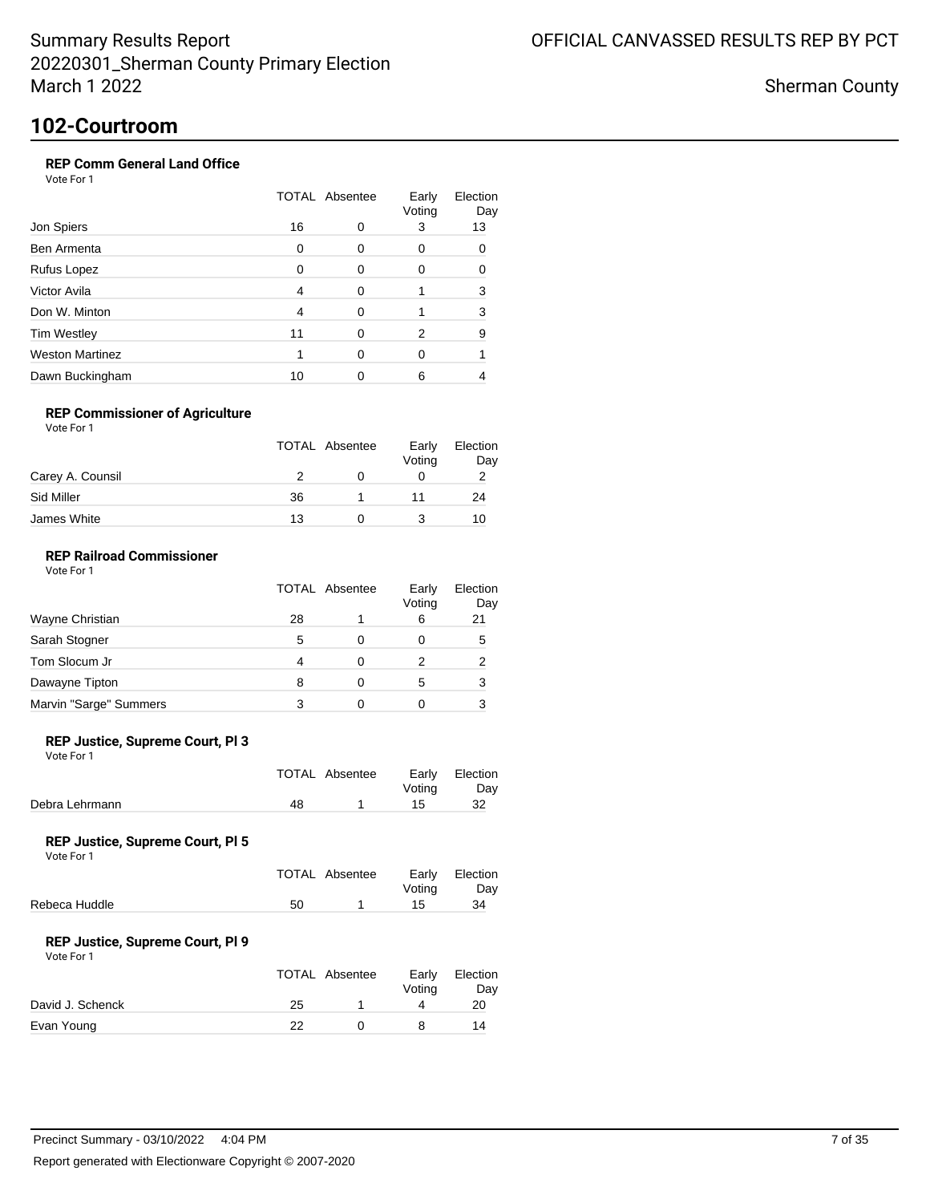Sherman County

## **102-Courtroom**

### **REP Comm General Land Office**

Vote For 1

|                        | <b>TOTAL Absentee</b> |   | Early<br>Voting | Election<br>Day |
|------------------------|-----------------------|---|-----------------|-----------------|
| Jon Spiers             | 16                    | 0 | 3               | 13              |
| Ben Armenta            | 0                     | O | 0               | ∩               |
| Rufus Lopez            | O                     | ∩ | O               |                 |
| Victor Avila           | 4                     | ∩ |                 | 3               |
| Don W. Minton          | 4                     | ∩ |                 | 3               |
| <b>Tim Westley</b>     | 11                    | ∩ | 2               | 9               |
| <b>Weston Martinez</b> |                       | ∩ | 0               |                 |
| Dawn Buckingham        | 10                    |   | 6               |                 |

### **REP Commissioner of Agriculture**

Vote For 1

|                  | <b>TOTAL Absentee</b> | Early<br>Voting | Election<br>Day |
|------------------|-----------------------|-----------------|-----------------|
| Carey A. Counsil |                       |                 |                 |
| Sid Miller       | 36                    |                 | 24              |
| James White      | 13                    |                 | 10              |

### **REP Railroad Commissioner**

|                        | <b>TOTAL Absentee</b> |          | Early<br>Voting | Election<br>Day |
|------------------------|-----------------------|----------|-----------------|-----------------|
| Wayne Christian        | 28                    |          | 6               | 21              |
| Sarah Stogner          | 5                     | 0        | 0               | 5               |
| Tom Slocum Jr          | 4                     | ∩        |                 | 2               |
| Dawayne Tipton         | 8                     | $\Omega$ | 5               | 3               |
| Marvin "Sarge" Summers |                       | O        |                 | 3               |

#### **REP Justice, Supreme Court, Pl 3**

Vote For 1

|                |    | TOTAL Absentee | Votina | Early Election<br>Day |
|----------------|----|----------------|--------|-----------------------|
| Debra Lehrmann | 48 |                | 15     | 32                    |

#### **REP Justice, Supreme Court, Pl 5**

Vote For 1

|               |    | TOTAL Absentee | Votina | Early Election<br>Dav |
|---------------|----|----------------|--------|-----------------------|
| Rebeca Huddle | 50 |                | 15.    | 34                    |
|               |    |                |        |                       |

#### **REP Justice, Supreme Court, Pl 9**

| Vote For 1 |  |
|------------|--|
|            |  |

|                  |    | TOTAL Absentee | Early<br>Voting | Election<br>Day |
|------------------|----|----------------|-----------------|-----------------|
| David J. Schenck | 25 |                |                 | 20              |
| Evan Young       | つつ |                |                 | 14              |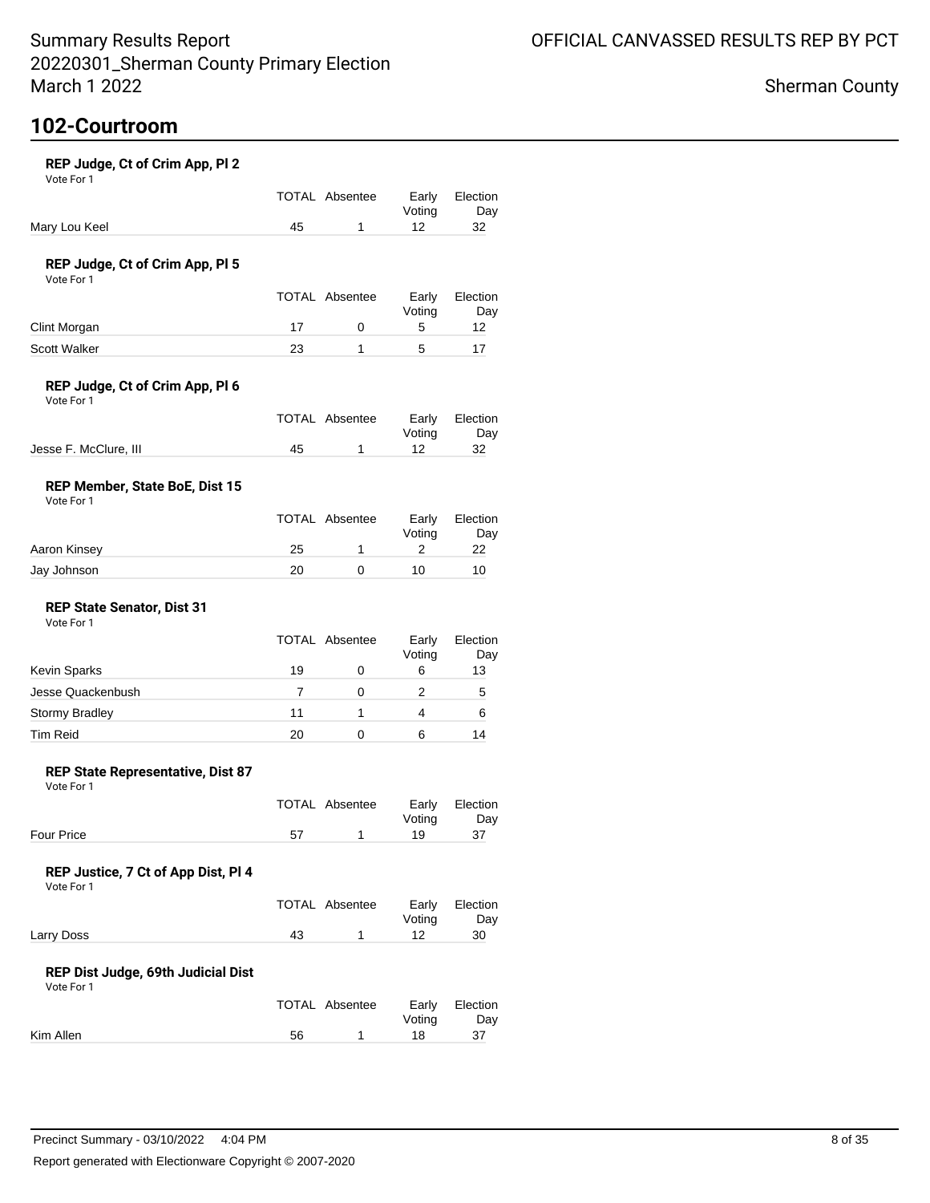Election Day<br>32

Election Day

Election Day

Election Day

Election Day

### Sherman County

# **102-Courtroom**

| REP Judge, Ct of Crim App, Pl 2<br>Vote For 1       |    |                       |                 |             |
|-----------------------------------------------------|----|-----------------------|-----------------|-------------|
|                                                     |    | <b>TOTAL Absentee</b> | Early<br>Voting | Electi<br>D |
| Mary Lou Keel                                       | 45 | 1                     | 12              | 32          |
| REP Judge, Ct of Crim App, PI 5<br>Vote For 1       |    |                       |                 |             |
|                                                     |    | <b>TOTAL Absentee</b> | Early<br>Voting | Electi<br>D |
| Clint Morgan                                        | 17 | 0                     | 5               | 12          |
| <b>Scott Walker</b>                                 | 23 | 1                     | 5               | 17          |
| REP Judge, Ct of Crim App, PI 6<br>Vote For 1       |    |                       |                 |             |
|                                                     |    | <b>TOTAL Absentee</b> | Early<br>Voting | Electi<br>D |
| Jesse F. McClure, III                               | 45 | $\mathbf{1}$          | 12              | 32          |
| <b>REP Member, State BoE, Dist 15</b><br>Vote For 1 |    |                       |                 |             |
|                                                     |    | <b>TOTAL Absentee</b> | Early<br>Voting | Electi<br>D |
| Aaron Kinsey                                        | 25 | 1                     | 2               | 22          |
| Jay Johnson                                         | 20 | 0                     | 10              | 10          |
| <b>REP State Senator, Dist 31</b><br>Vote For 1     |    |                       |                 |             |
|                                                     |    | <b>TOTAL Absentee</b> | Early<br>Voting | Electi<br>D |
| Kevin Sparks                                        | 19 | 0                     | 6               | 13          |
| Jesse Quackenbush                                   | 7  | 0                     | 2               | 5           |
| Stormy Bradley                                      | 11 | 1                     | 4               | 6           |

#### **REP State Representative, Dist 87**

Vote For 1

|                   | TOTAL Absentee | Early Election<br>Votina | Day |
|-------------------|----------------|--------------------------|-----|
| <b>Four Price</b> |                | 19                       |     |

Tim Reid **20** 0 6 14

### **REP Justice, 7 Ct of App Dist, Pl 4**

Vote For 1

|            | TOTAL Absentee |        | Early Election |
|------------|----------------|--------|----------------|
|            |                | Votina | Day            |
| Larry Doss |                |        | 30             |

### **REP Dist Judge, 69th Judicial Dist**

|           |    | TOTAL Absentee | Votina | Early Election<br>Day |
|-----------|----|----------------|--------|-----------------------|
| Kim Allen | 56 |                | 18     | 37                    |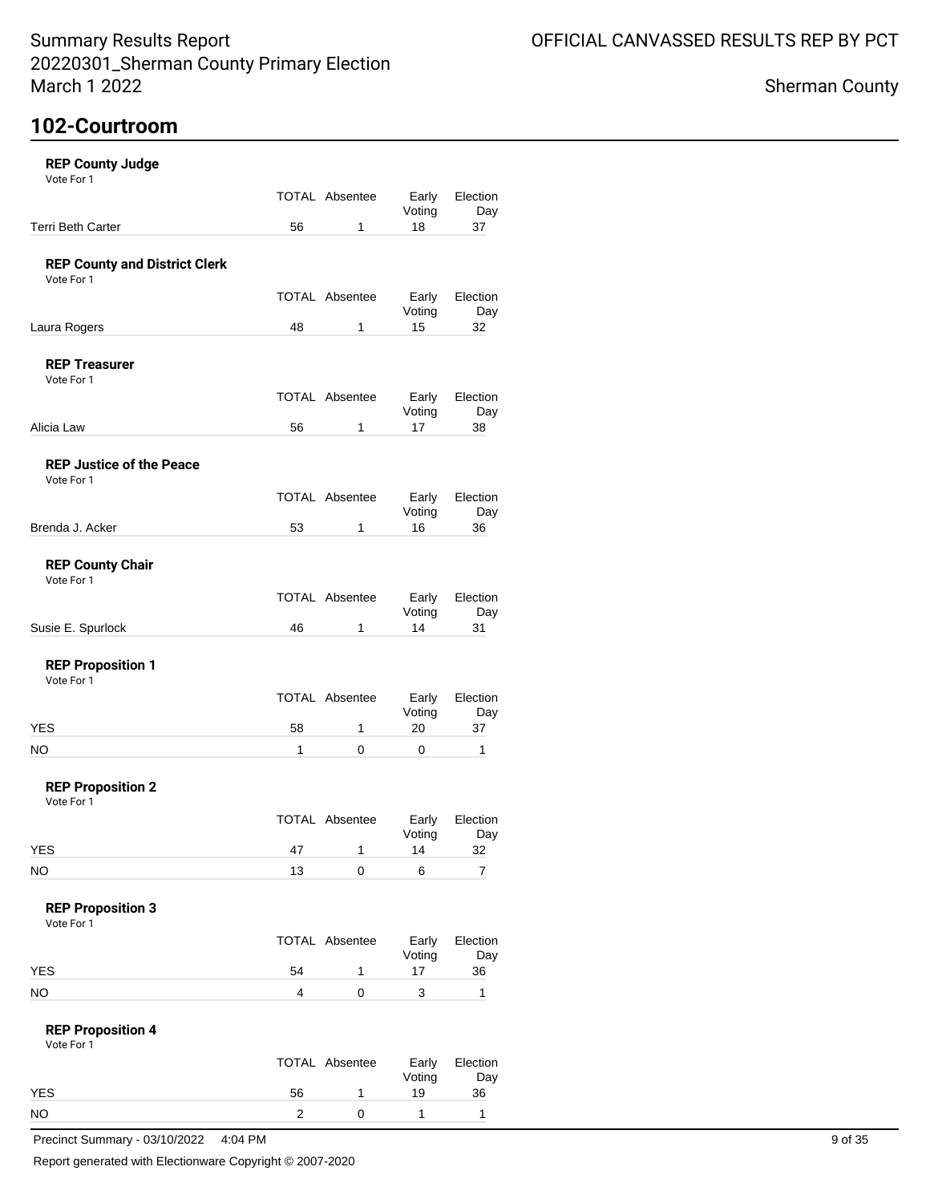## Sherman County

## **102-Courtroom**

| <b>REP County Judge</b>                            |                    |                                     |                   |                    |
|----------------------------------------------------|--------------------|-------------------------------------|-------------------|--------------------|
| Vote For 1                                         |                    | TOTAL Absentee                      | Early             | Election           |
| Terri Beth Carter                                  | 56                 | $\mathbf{1}$                        | Voting<br>18      | Day<br>37          |
|                                                    |                    |                                     |                   |                    |
| <b>REP County and District Clerk</b><br>Vote For 1 |                    |                                     |                   |                    |
|                                                    |                    | TOTAL Absentee                      | Early<br>Voting   | Election<br>Day    |
| Laura Rogers                                       | 48                 | $\mathbf{1}$                        | 15                | 32                 |
| <b>REP Treasurer</b><br>Vote For 1                 |                    |                                     |                   |                    |
|                                                    |                    | TOTAL Absentee                      | Early             | Election           |
| Alicia Law                                         | 56                 | $\mathbf{1}$                        | Voting<br>17      | Day<br>38          |
| <b>REP Justice of the Peace</b><br>Vote For 1      |                    | TOTAL Absentee                      | Early             | Election           |
|                                                    |                    |                                     | Voting            | Day                |
| Brenda J. Acker                                    | 53                 | $\mathbf{1}$                        | 16                | 36                 |
| <b>REP County Chair</b><br>Vote For 1              |                    |                                     |                   |                    |
|                                                    |                    | TOTAL Absentee                      | Early<br>Voting   | Election<br>Day    |
| Susie E. Spurlock                                  | 46                 | $\mathbf{1}$                        | 14                | 31                 |
| <b>REP Proposition 1</b><br>Vote For 1             |                    |                                     |                   |                    |
|                                                    |                    | TOTAL Absentee                      | Early<br>Voting   | Election<br>Day    |
| <b>YES</b><br><b>NO</b>                            | 58<br>$\mathbf{1}$ | $\mathbf{1}$<br>$\mathsf{O}\xspace$ | 20<br>$\mathbf 0$ | 37<br>$\mathbf{1}$ |
| <b>REP Proposition 2</b><br>Vote For 1             |                    |                                     |                   |                    |
|                                                    |                    | TOTAL Absentee                      | Early<br>Voting   | Election<br>Day    |
| <b>YES</b>                                         | 47                 | $\mathbf{1}$                        | 14                | 32                 |
| $NO$                                               | 13                 | $\mathsf 0$                         | 6                 | $\overline{7}$     |
| <b>REP Proposition 3</b><br>Vote For 1             |                    |                                     |                   |                    |
|                                                    |                    | TOTAL Absentee                      | Early<br>Voting   | Election<br>Day    |
| <b>YES</b>                                         | 54                 | $\mathbf{1}$                        | 17                | 36                 |
| <b>NO</b>                                          | $\overline{4}$     | $\mathsf{O}\xspace$                 | $\mathbf{3}$      | $\mathbf{1}$       |
| <b>REP Proposition 4</b><br>Vote For 1             |                    |                                     |                   |                    |
|                                                    |                    | TOTAL Absentee                      | Early<br>Voting   | Election<br>Day    |
| <b>YES</b>                                         | 56                 | $\mathbf{1}$                        | 19                | 36                 |
|                                                    |                    |                                     |                   |                    |

Report generated with Electionware Copyright © 2007-2020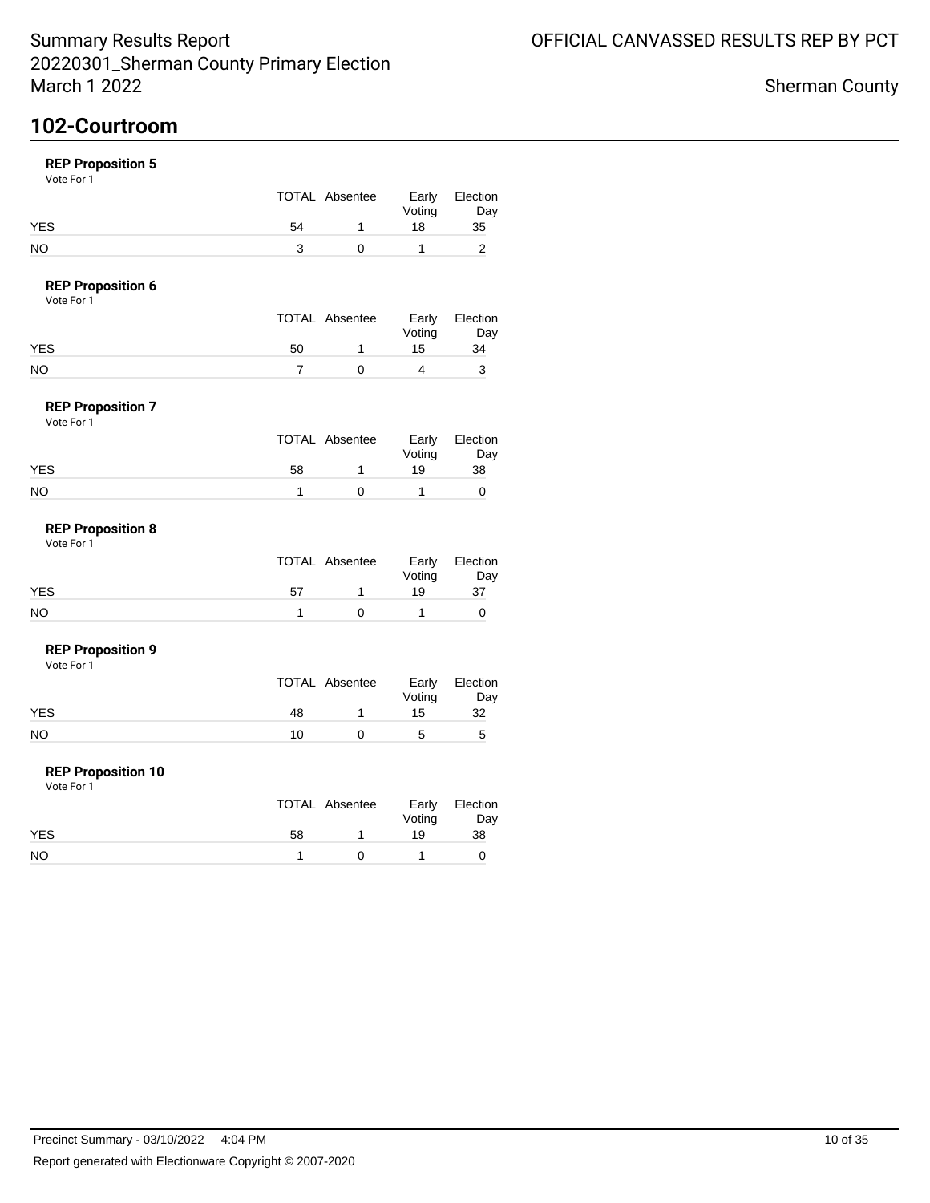## **102-Courtroom**

### **REP Proposition 5**

Vote For 1

|            |    | TOTAL Absentee | Early<br>Voting | Election<br>Day |
|------------|----|----------------|-----------------|-----------------|
| <b>YES</b> | 54 |                | 18              | 35              |
| NO         |    |                |                 |                 |

### **REP Proposition 6**

|            | TOTAL Absentee | Early  | Election |
|------------|----------------|--------|----------|
|            |                | Voting | Day      |
| <b>YES</b> | 50             | 15     | 34       |
| NO         |                |        |          |

#### **REP Proposition 7** Vote For 1

| .          |    | TOTAL Absentee | Early        | Election  |
|------------|----|----------------|--------------|-----------|
| <b>YES</b> | 58 |                | Voting<br>19 | Day<br>38 |
| NO         |    |                |              |           |

#### **REP Proposition 8** Vote For 1

|     |    | TOTAL Absentee | Voting | Early Election<br>Day |
|-----|----|----------------|--------|-----------------------|
| YES | 57 |                | 19     | 37                    |
| NO  |    |                |        |                       |

#### **REP Proposition 9**

Vote For 1

|     | TOTAL Absentee | Voting | Early Election<br>Day |
|-----|----------------|--------|-----------------------|
| YES | 48             | 15     | 32                    |
| NO  | 10             | 5      |                       |

#### **REP Proposition 10**

|            | TOTAL Absentee |             | Voting | Early Election<br>Day |
|------------|----------------|-------------|--------|-----------------------|
| <b>YES</b> | 58             |             | 19     | 38                    |
| <b>NO</b>  |                | $^{\prime}$ |        |                       |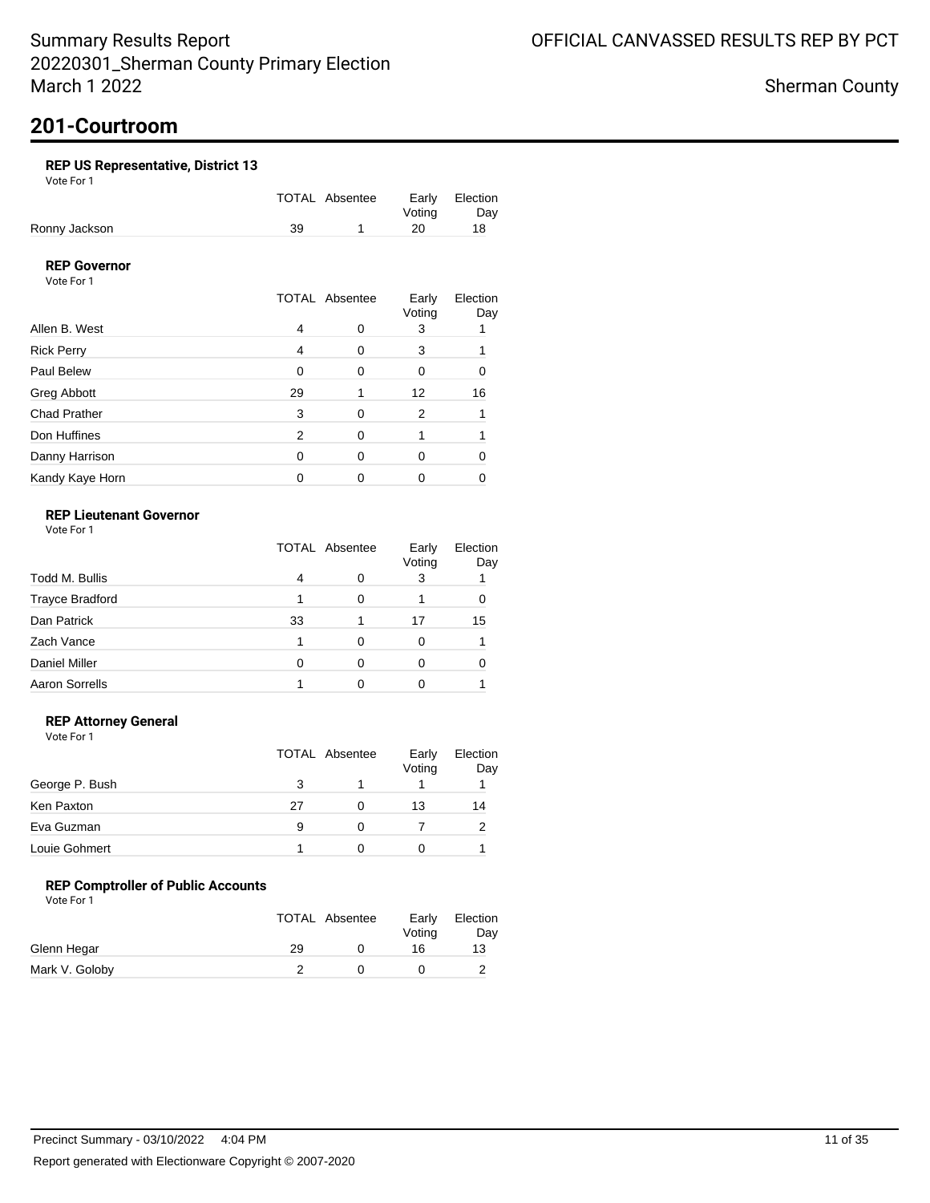# **201-Courtroom**

### **REP US Representative, District 13**

Vote For 1

|               |    | TOTAL Absentee |        | Early Election |
|---------------|----|----------------|--------|----------------|
|               |    |                | Votina | Day            |
| Ronny Jackson | 39 |                | 20     | 18.            |

### **REP Governor**

Vote For 1

|                     |          | <b>TOTAL Absentee</b> | Early<br>Voting | Election<br>Day |
|---------------------|----------|-----------------------|-----------------|-----------------|
| Allen B. West       | 4        | O                     | 3               |                 |
| <b>Rick Perry</b>   | 4        | 0                     | 3               |                 |
| Paul Belew          | 0        | 0                     | 0               |                 |
| Greg Abbott         | 29       |                       | 12              | 16              |
| <b>Chad Prather</b> | 3        | 0                     | 2               |                 |
| Don Huffines        | 2        | 0                     |                 |                 |
| Danny Harrison      | $\Omega$ | 0                     | Ω               |                 |
| Kandy Kaye Horn     |          |                       |                 |                 |

### **REP Lieutenant Governor**

Vote For 1

|                        | <b>TOTAL Absentee</b> |   | Early<br>Voting | Election<br>Day |
|------------------------|-----------------------|---|-----------------|-----------------|
| Todd M. Bullis         | 4                     |   | 3               |                 |
| <b>Trayce Bradford</b> |                       | ∩ |                 |                 |
| Dan Patrick            | 33                    |   | 17              | 15              |
| Zach Vance             |                       |   | O               |                 |
| <b>Daniel Miller</b>   |                       | ∩ |                 |                 |
| <b>Aaron Sorrells</b>  |                       |   |                 |                 |

### **REP Attorney General**

Vote For 1

|                |    | TOTAL Absentee | Early<br>Voting | Election<br>Day |
|----------------|----|----------------|-----------------|-----------------|
| George P. Bush |    |                |                 |                 |
| Ken Paxton     | 27 | 0              | 13              | 14              |
| Eva Guzman     | 9  |                |                 |                 |
| Louie Gohmert  |    |                |                 |                 |

### **REP Comptroller of Public Accounts**

|                |    | <b>TOTAL Absentee</b> | Early<br>Voting | Election<br>Day |
|----------------|----|-----------------------|-----------------|-----------------|
| Glenn Hegar    | 29 |                       | 16              | 13              |
| Mark V. Goloby |    |                       |                 |                 |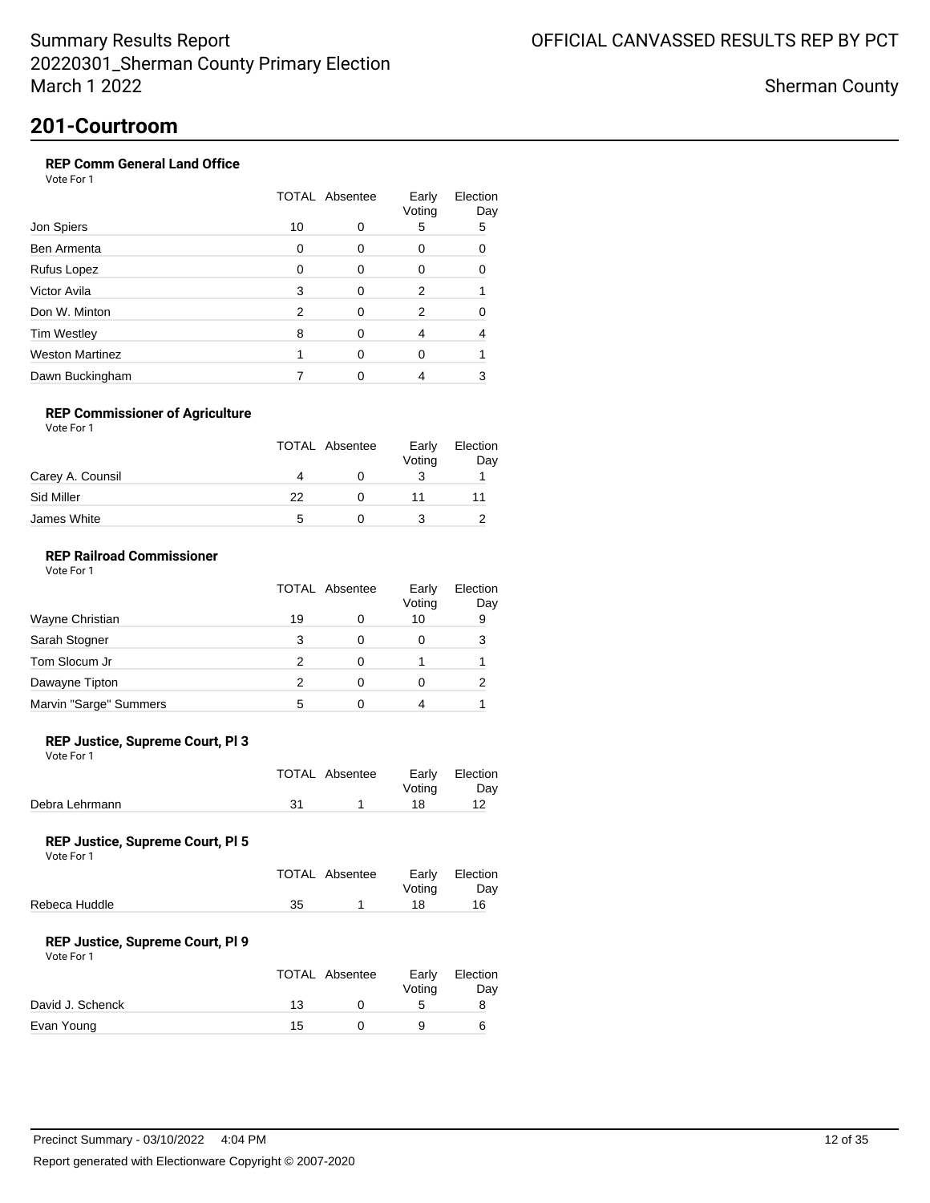Sherman County

## **201-Courtroom**

### **REP Comm General Land Office**

Vote For 1

|                        |    | <b>TOTAL Absentee</b> |   |          |
|------------------------|----|-----------------------|---|----------|
| Jon Spiers             | 10 | 0                     | 5 | Day<br>5 |
| Ben Armenta            | 0  | ∩                     | 0 | O        |
| Rufus Lopez            | 0  | ∩                     | 0 |          |
| Victor Avila           | 3  | ∩                     | 2 |          |
| Don W. Minton          | 2  | ∩                     | 2 |          |
| <b>Tim Westley</b>     | 8  | ∩                     | 4 |          |
| <b>Weston Martinez</b> |    | ∩                     | 0 |          |
| Dawn Buckingham        |    |                       |   |          |

### **REP Commissioner of Agriculture**

Vote For 1

|                  |    | <b>TOTAL Absentee</b> | Early<br>Voting | Election<br>Day |
|------------------|----|-----------------------|-----------------|-----------------|
| Carey A. Counsil |    |                       |                 |                 |
| Sid Miller       | 22 |                       |                 |                 |
| James White      | h  |                       |                 |                 |

### **REP Railroad Commissioner**

|                        | <b>TOTAL Absentee</b> |   | Early<br>Voting | Election<br>Day |
|------------------------|-----------------------|---|-----------------|-----------------|
| Wayne Christian        | 19                    | Ω | 10              | 9               |
| Sarah Stogner          | 3                     | O | $\mathbf{0}$    | 3               |
| Tom Slocum Jr          |                       | O |                 |                 |
| Dawayne Tipton         |                       | O |                 |                 |
| Marvin "Sarge" Summers | 5                     |   |                 |                 |

#### **REP Justice, Supreme Court, Pl 3**

Vote For 1

|                |    | TOTAL Absentee | Votina | Early Election<br>Day |
|----------------|----|----------------|--------|-----------------------|
| Debra Lehrmann | 31 |                | 18     |                       |

#### **REP Justice, Supreme Court, Pl 5**

Vote For 1

|    | Votina         | Early Election<br>Dav |
|----|----------------|-----------------------|
| 35 | 18.            | 16.                   |
|    | TOTAL Absentee |                       |

#### **REP Justice, Supreme Court, Pl 9**

| Vote For 1 |  |
|------------|--|
|            |  |

|                  |    | TOTAL Absentee | Early<br>Votina | Election<br>Day |
|------------------|----|----------------|-----------------|-----------------|
| David J. Schenck | 13 |                |                 |                 |
| Evan Young       | 15 |                |                 | 6               |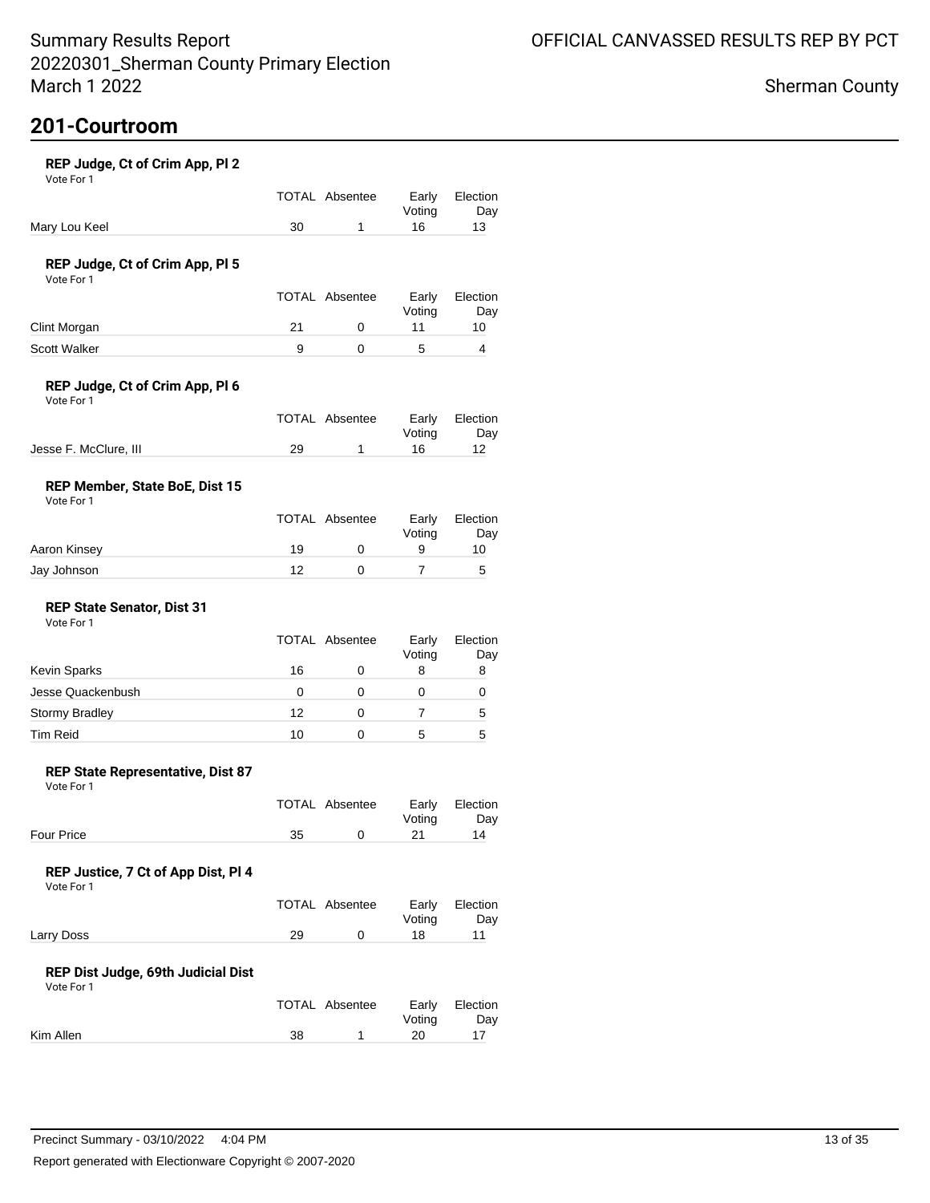# **201-Courtroom**

| REP Judge, Ct of Crim App, Pl 2<br>Vote For 1     |    |                       |                 |                 |
|---------------------------------------------------|----|-----------------------|-----------------|-----------------|
|                                                   |    | <b>TOTAL Absentee</b> | Early<br>Voting | Election<br>Day |
| Mary Lou Keel                                     | 30 | 1                     | 16              | 13              |
| REP Judge, Ct of Crim App, PI 5<br>Vote For 1     |    |                       |                 |                 |
|                                                   |    | <b>TOTAL Absentee</b> | Early<br>Voting | Election<br>Day |
| Clint Morgan                                      | 21 | 0                     | 11              | 10              |
| Scott Walker                                      | 9  | 0                     | 5               | 4               |
| REP Judge, Ct of Crim App, Pl 6<br>Vote For 1     |    | <b>TOTAL Absentee</b> | Early           | Election        |
|                                                   |    |                       | Voting          | Day             |
| Jesse F. McClure, III                             | 29 | 1                     | 16              | 12              |
| REP Member, State BoE, Dist 15<br>Vote For 1      |    |                       |                 |                 |
|                                                   |    | <b>TOTAL Absentee</b> | Early<br>Voting | Election<br>Day |
| Aaron Kinsey                                      | 19 | 0                     | 9               | 10              |
| Jay Johnson                                       | 12 | 0                     | 7               | 5               |
| <b>REP State Senator, Dist 31</b><br>Vote For 1   |    |                       |                 |                 |
|                                                   |    | <b>TOTAL Absentee</b> | Early<br>Voting | Election<br>Day |
| <b>Kevin Sparks</b>                               | 16 | 0                     | 8               | 8               |
| Jesse Quackenbush                                 | 0  | 0                     | 0               | 0               |
| Stormy Bradley                                    | 12 | 0                     | 7               | 5               |
| <b>Tim Reid</b>                                   | 10 | 0                     | 5               | 5               |
| REP State Representative, Dist 87<br>Vote For 1   |    |                       |                 |                 |
|                                                   |    | <b>TOTAL Absentee</b> | Early<br>Voting | Election<br>Day |
| <b>Four Price</b>                                 | 35 | 0                     | 21              | 14              |
| REP Justice, 7 Ct of App Dist, Pl 4<br>Vote For 1 |    |                       |                 |                 |
|                                                   |    | <b>TOTAL Absentee</b> | Early<br>Voting | Election<br>Day |
| Larry Doss                                        | 29 | 0                     | 18              | 11              |
| REP Dist Judge, 69th Judicial Dist<br>Vote For 1  |    |                       |                 |                 |
|                                                   |    | <b>TOTAL Absentee</b> | Early<br>Voting | Election<br>Day |

Kim Allen 17 20 17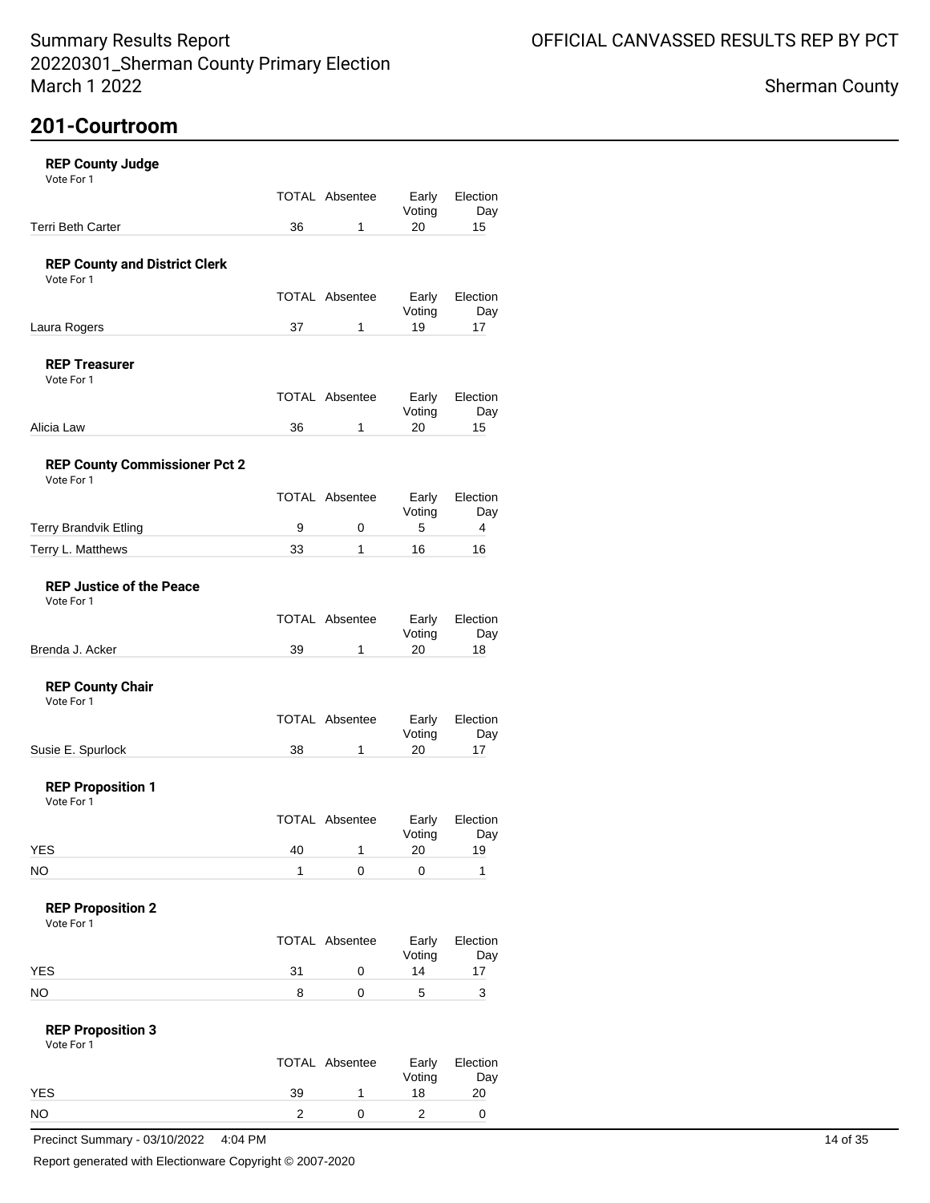## **201-Courtroom**

| <b>REP County Judge</b> |  |
|-------------------------|--|
| $V$ oto Eor 1           |  |

| Vote For 1                                         |                         |                       |                 |                  |
|----------------------------------------------------|-------------------------|-----------------------|-----------------|------------------|
|                                                    |                         | TOTAL Absentee        | Early           | Election         |
| Terri Beth Carter                                  | 36                      | $\mathbf{1}$          | Voting<br>20    | Day<br>15        |
|                                                    |                         |                       |                 |                  |
| <b>REP County and District Clerk</b>               |                         |                       |                 |                  |
| Vote For 1                                         |                         |                       |                 |                  |
|                                                    |                         | TOTAL Absentee        | Early<br>Voting | Election<br>Day  |
| Laura Rogers                                       | 37                      | $\mathbf{1}$          | 19              | 17               |
|                                                    |                         |                       |                 |                  |
| <b>REP Treasurer</b><br>Vote For 1                 |                         |                       |                 |                  |
|                                                    |                         | TOTAL Absentee        | Early           | Election         |
|                                                    |                         |                       | Voting          | Day              |
| Alicia Law                                         | 36                      | $\mathbf{1}$          | 20              | 15               |
|                                                    |                         |                       |                 |                  |
| <b>REP County Commissioner Pct 2</b><br>Vote For 1 |                         |                       |                 |                  |
|                                                    |                         | TOTAL Absentee        | Early           | Election         |
|                                                    |                         |                       | Voting          | Day              |
| Terry Brandvik Etling                              | 9                       | $\mathsf{O}\xspace$   | 5               | 4                |
| Terry L. Matthews                                  | 33                      | $\mathbf{1}$          | 16              | 16               |
|                                                    |                         |                       |                 |                  |
| <b>REP Justice of the Peace</b><br>Vote For 1      |                         |                       |                 |                  |
|                                                    |                         | <b>TOTAL Absentee</b> | Early           | Election         |
|                                                    |                         |                       | Voting          | Day              |
| Brenda J. Acker                                    | 39                      | $\mathbf{1}$          | 20              | 18               |
|                                                    |                         |                       |                 |                  |
| <b>REP County Chair</b><br>Vote For 1              |                         |                       |                 |                  |
|                                                    |                         | TOTAL Absentee        | Early           | Election         |
|                                                    |                         |                       | Voting          | Day              |
| Susie E. Spurlock                                  | 38                      | $\mathbf{1}$          | 20              | 17               |
|                                                    |                         |                       |                 |                  |
| <b>REP Proposition 1</b><br>Vote For 1             |                         |                       |                 |                  |
|                                                    |                         | TOTAL Absentee        | Early           | Election         |
|                                                    |                         |                       | Voting          | Day              |
| <b>YES</b>                                         | 40                      | $\mathbf{1}$          | 20              | 19               |
| <b>NO</b>                                          | $\mathbf{1}$            | 0                     | 0               | 1                |
|                                                    |                         |                       |                 |                  |
| <b>REP Proposition 2</b><br>Vote For 1             |                         |                       |                 |                  |
|                                                    |                         | TOTAL Absentee        | Early           | Election         |
|                                                    |                         |                       | Voting          | Day              |
| YES                                                | 31                      | $\pmb{0}$             | 14              | 17               |
| <b>NO</b>                                          | 8                       | $\mathsf 0$           | $\mathbf 5$     | 3                |
| <b>REP Proposition 3</b>                           |                         |                       |                 |                  |
| Vote For 1                                         |                         |                       |                 |                  |
|                                                    |                         | TOTAL Absentee        | Early           | Election         |
|                                                    |                         |                       | Voting          | Day              |
| <b>YES</b>                                         | 39                      | $\mathbf{1}$          | 18              | 20               |
| <b>NO</b>                                          | $\overline{\mathbf{c}}$ | $\mathsf{O}\xspace$   | $\overline{c}$  | $\boldsymbol{0}$ |
| Precinct Summary - 03/10/2022                      | 4:04 PM                 |                       |                 |                  |

Report generated with Electionware Copyright © 2007-2020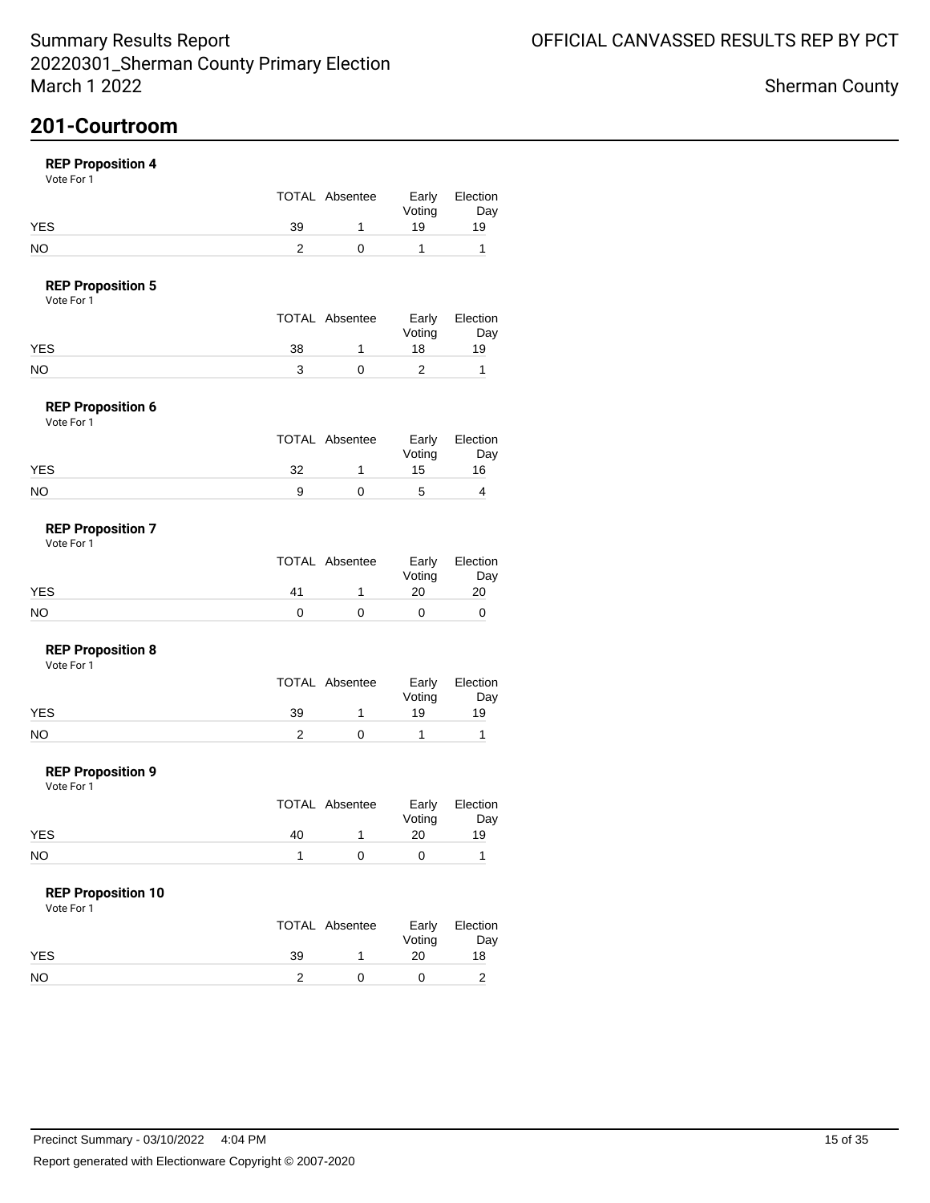## **201-Courtroom**

### **REP Proposition 4**

Vote For 1

|            |    | TOTAL Absentee | Early<br>Voting | Election<br>Day |
|------------|----|----------------|-----------------|-----------------|
| <b>YES</b> | 39 |                | 19              | 19              |
| NO         |    |                |                 |                 |

### **REP Proposition 5**

Vote For 1

|            |    | TOTAL Absentee | Early<br>Voting | Election<br>Day |
|------------|----|----------------|-----------------|-----------------|
| <b>YES</b> | 38 |                | 18              | 19              |
| NO         |    |                |                 |                 |

#### **REP Proposition 6** Vote For 1

| .          |   |                |                 |                 |
|------------|---|----------------|-----------------|-----------------|
|            |   | TOTAL Absentee | Early<br>Voting | Election<br>Day |
| <b>YES</b> | つ |                | 15              | 16              |
| <b>NO</b>  |   |                | 5               |                 |

#### **REP Proposition 7** Vote For 1

|            |    | TOTAL Absentee | Voting | Early Election<br>Day |
|------------|----|----------------|--------|-----------------------|
| <b>YES</b> | 41 |                | 20     | 20                    |
| NO         |    |                |        |                       |

#### **REP Proposition 8**

Vote For 1

|            |    | TOTAL Absentee | Early<br>Voting | Election<br>Day |
|------------|----|----------------|-----------------|-----------------|
| <b>YES</b> | 39 |                | 19              | 19              |
| NO         |    |                |                 |                 |

#### **REP Proposition 9**

Vote For 1

|            |    | TOTAL Absentee | Voting | Early Election<br>Day |
|------------|----|----------------|--------|-----------------------|
| <b>YES</b> | 40 |                | 20     | 19                    |
| <b>NO</b>  |    |                |        |                       |

### **REP Proposition 10**

|            |    | TOTAL Absentee | Voting | Early Election<br>Day |
|------------|----|----------------|--------|-----------------------|
| <b>YES</b> | 39 |                | 20     | 18                    |
| <b>NO</b>  |    |                |        |                       |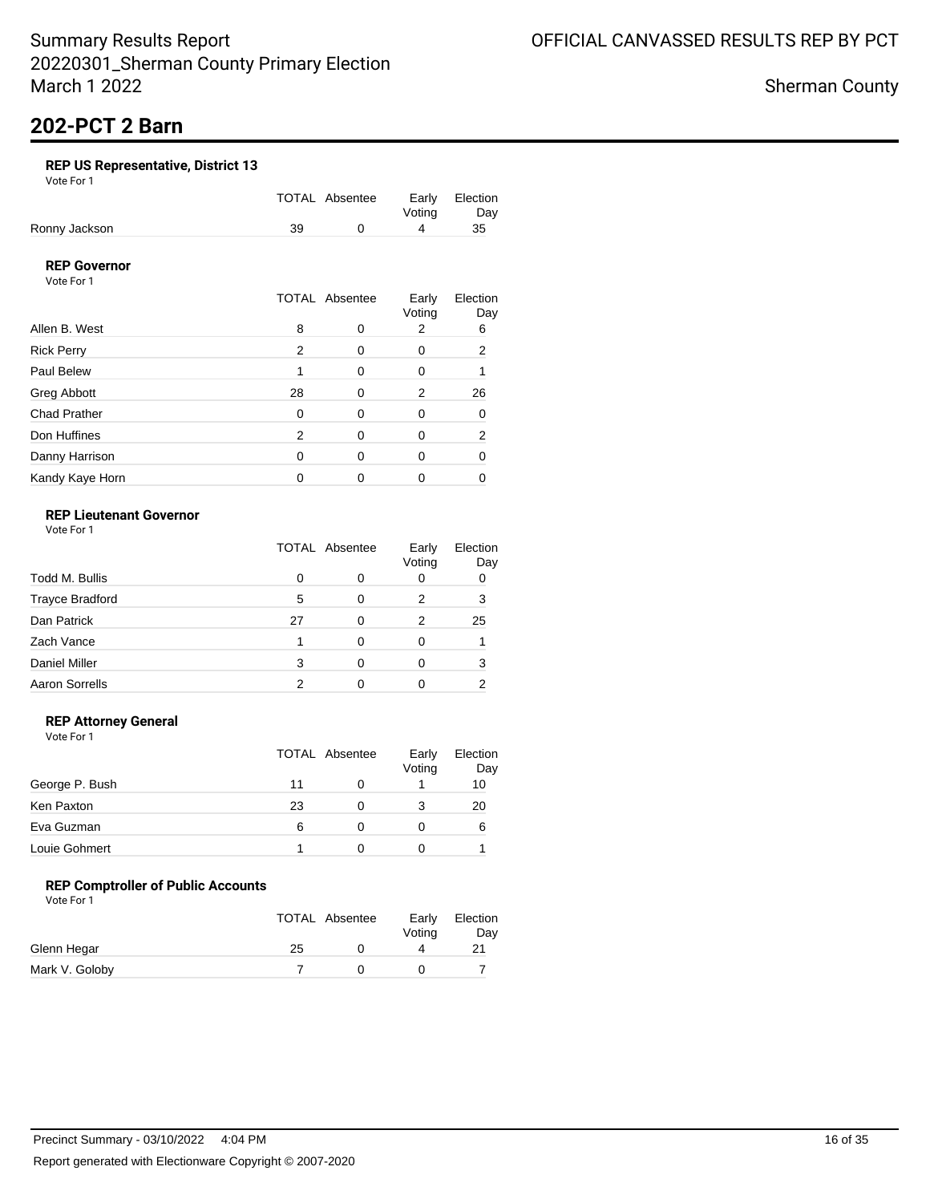Sherman County

# **202-PCT 2 Barn**

### **REP US Representative, District 13**

Vote For 1

|               |    | TOTAL Absentee |        | Early Election |
|---------------|----|----------------|--------|----------------|
|               |    |                | Votina | Dav            |
| Ronny Jackson | 39 |                |        | 35             |

### **REP Governor**

Vote For 1

|                     |    | <b>TOTAL Absentee</b> |             | Election<br>Day |
|---------------------|----|-----------------------|-------------|-----------------|
| Allen B. West       | 8  | O                     | Voting<br>2 | 6               |
| <b>Rick Perry</b>   | 2  | 0                     | 0           | 2               |
| Paul Belew          |    | 0                     | 0           |                 |
| Greg Abbott         | 28 | 0                     | 2           | 26              |
| <b>Chad Prather</b> | 0  | 0                     | 0           | 0               |
| Don Huffines        | 2  | 0                     | 0           | 2               |
| Danny Harrison      | 0  | 0                     | 0           |                 |
| Kandy Kaye Horn     |    |                       |             |                 |

### **REP Lieutenant Governor**

Vote For 1

|                        | <b>TOTAL Absentee</b> |   | Early<br>Voting | Election<br>Day |
|------------------------|-----------------------|---|-----------------|-----------------|
| Todd M. Bullis         | 0                     | 0 | U               | 0               |
| <b>Trayce Bradford</b> | 5                     | 0 | 2               | 3               |
| Dan Patrick            | 27                    | 0 | 2               | 25              |
| Zach Vance             |                       | 0 |                 |                 |
| <b>Daniel Miller</b>   | 3                     | ∩ |                 | з               |
| <b>Aaron Sorrells</b>  |                       |   |                 |                 |

### **REP Attorney General**

Vote For 1

|                |    | TOTAL Absentee | Early<br>Voting | Election<br>Day |
|----------------|----|----------------|-----------------|-----------------|
| George P. Bush | 11 |                |                 | 10              |
| Ken Paxton     | 23 | O              |                 | 20              |
| Eva Guzman     | 6  | 0              |                 | 6               |
| Louie Gohmert  |    |                |                 |                 |

### **REP Comptroller of Public Accounts**

|                |    | <b>TOTAL Absentee</b> | Early<br>Voting | Election<br>Day |
|----------------|----|-----------------------|-----------------|-----------------|
| Glenn Hegar    | 25 |                       |                 |                 |
| Mark V. Goloby |    |                       |                 |                 |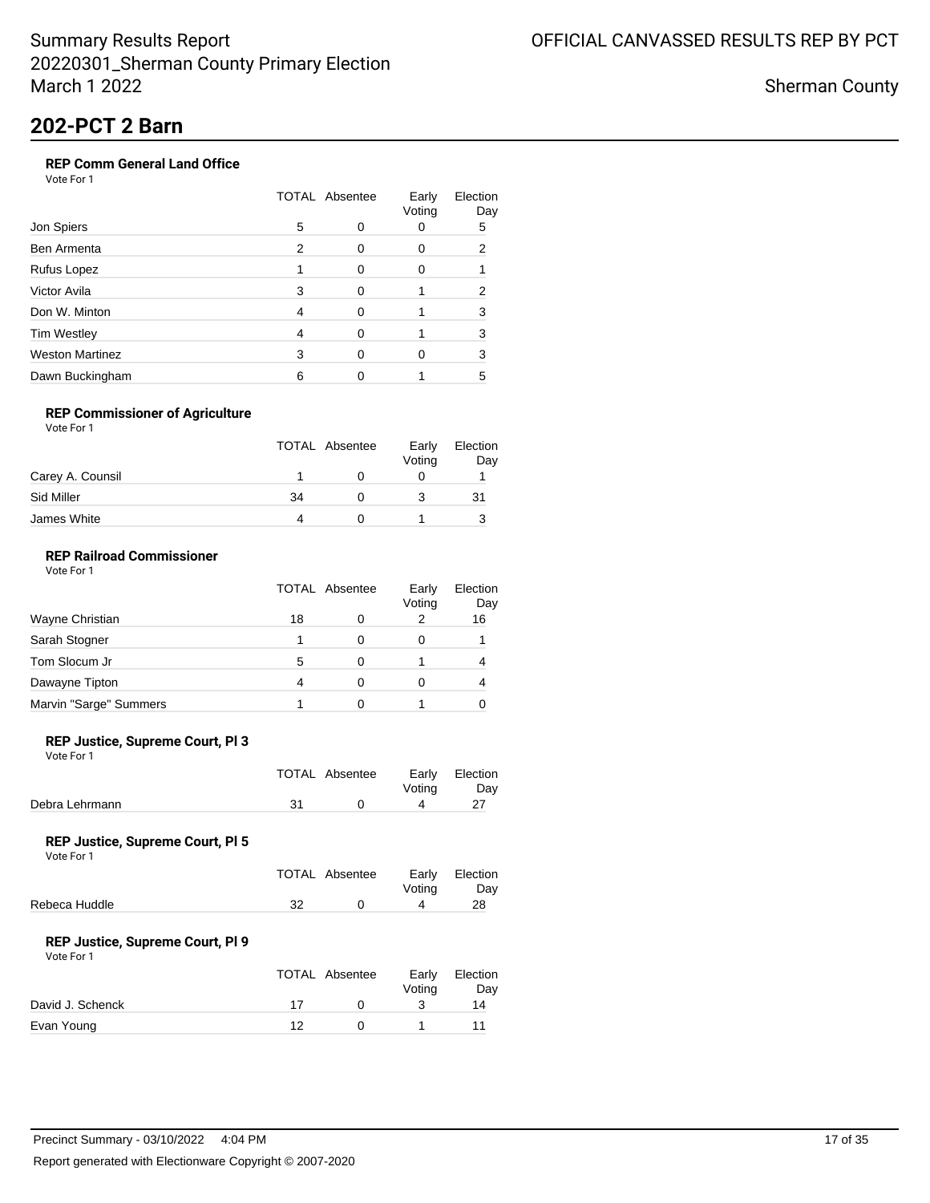Sherman County

# **202-PCT 2 Barn**

### **REP Comm General Land Office**

Vote For 1

|                        | <b>TOTAL Absentee</b> |   | Early<br>Voting | Election<br>Day |
|------------------------|-----------------------|---|-----------------|-----------------|
| Jon Spiers             | 5                     |   | 0               | 5               |
| Ben Armenta            | 2                     |   | 0               | 2               |
| Rufus Lopez            |                       |   | 0               |                 |
| Victor Avila           | 3                     |   |                 | 2               |
| Don W. Minton          | 4                     | ∩ |                 | 3               |
| <b>Tim Westley</b>     | 4                     |   |                 | 3               |
| <b>Weston Martinez</b> | 3                     |   | 0               | 3               |
| Dawn Buckingham        | 6                     |   |                 | 5               |

#### **REP Commissioner of Agriculture**

| Vote For 1 |  |  |
|------------|--|--|
|            |  |  |

|                  |    | <b>TOTAL Absentee</b> | Early<br>Voting | Election<br>Day |
|------------------|----|-----------------------|-----------------|-----------------|
| Carey A. Counsil |    |                       |                 |                 |
| Sid Miller       | 34 |                       |                 | 31              |
| James White      |    |                       |                 |                 |

### **REP Railroad Commissioner**

|                        | <b>TOTAL Absentee</b> |   | Early<br>Voting | Election<br>Day |
|------------------------|-----------------------|---|-----------------|-----------------|
| Wayne Christian        | 18                    | 0 | 2               | 16              |
| Sarah Stogner          |                       | 0 | O               |                 |
| Tom Slocum Jr          | 5                     | Ω |                 |                 |
| Dawayne Tipton         | 4                     | O |                 |                 |
| Marvin "Sarge" Summers |                       |   |                 |                 |

#### **REP Justice, Supreme Court, Pl 3**

Vote For 1

|                | TOTAL Absentee | Votina | Early Election<br>Day |
|----------------|----------------|--------|-----------------------|
| Debra Lehrmann |                |        |                       |

#### **REP Justice, Supreme Court, Pl 5**

Vote For 1

|               |    | TOTAL Absentee | Early Election<br>Votina | Dav |
|---------------|----|----------------|--------------------------|-----|
| Rebeca Huddle | 32 |                | Δ                        | 28  |

#### **REP Justice, Supreme Court, Pl 9**

| Vote For 1 |  |
|------------|--|
|            |  |

|                  |    | TOTAL Absentee | Early<br>Votina | Election<br>Day |
|------------------|----|----------------|-----------------|-----------------|
| David J. Schenck | 17 |                |                 | 14              |
| Evan Young       | ィク |                |                 |                 |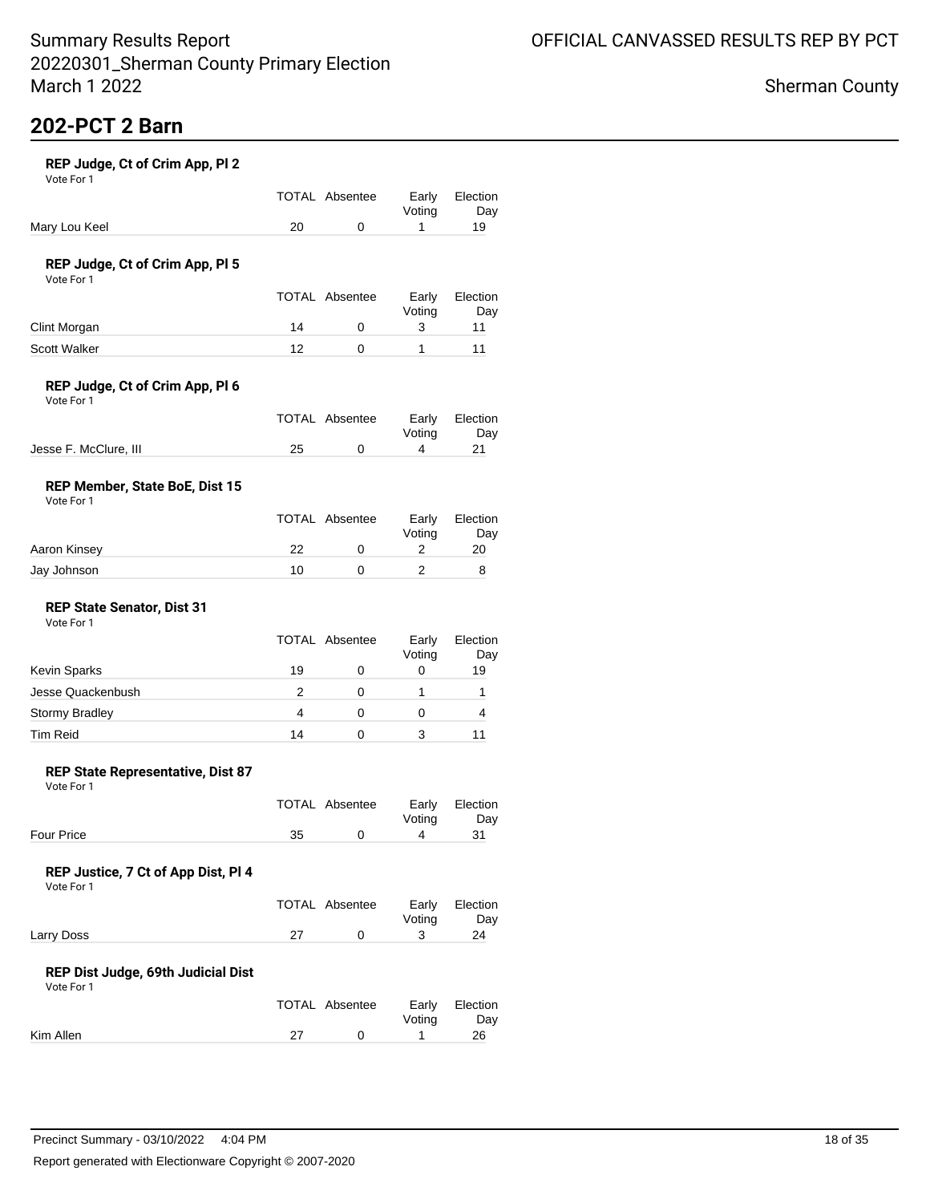## **202-PCT 2 Barn**

| REP Judge, Ct of Crim App, PI 2 |  |
|---------------------------------|--|
| Vote For 1                      |  |

|               | TOTAL Absentee | Votina | Early Election<br>Day |
|---------------|----------------|--------|-----------------------|
| Mary Lou Keel |                |        | 19                    |

### **REP Judge, Ct of Crim App, Pl 5**

Vote For 1

|                     |    | <b>TOTAL Absentee</b> | Early<br>Votina | Election<br>Day |
|---------------------|----|-----------------------|-----------------|-----------------|
| Clint Morgan        | 14 |                       |                 |                 |
| <b>Scott Walker</b> | ィク |                       |                 |                 |

### **REP Judge, Ct of Crim App, Pl 6**

| Vote For 1 |  |
|------------|--|
|------------|--|

|                       |    | TOTAL Absentee |        | Early Election |
|-----------------------|----|----------------|--------|----------------|
|                       |    |                | Votina | Dav            |
| Jesse F. McClure, III | 25 |                |        |                |

### **REP Member, State BoE, Dist 15**

| Vote For 1 |
|------------|
|------------|

|              |    | TOTAL Absentee | Early<br>Votina | Election<br>Day |
|--------------|----|----------------|-----------------|-----------------|
| Aaron Kinsey | 22 |                |                 | 20              |
| Jay Johnson  | 10 |                |                 |                 |

#### **REP State Senator, Dist 31** Vote For 1

|                       | TOTAL Absentee | Early<br>Voting | Election<br>Day |
|-----------------------|----------------|-----------------|-----------------|
| Kevin Sparks          | 19             | 0               | 19              |
| Jesse Quackenbush     |                |                 |                 |
| <b>Stormy Bradley</b> |                | 0               |                 |
| <b>Tim Reid</b>       | 14             |                 |                 |

#### **REP State Representative, Dist 87**

Vote For 1

|                   |    | TOTAL Absentee |        | Early Election |
|-------------------|----|----------------|--------|----------------|
|                   |    |                | Votina | Dav            |
| <b>Four Price</b> | 35 |                |        |                |

### **REP Justice, 7 Ct of App Dist, Pl 4**

Vote For 1

|            | TOTAL Absentee | Votina | Early Election<br>Day |
|------------|----------------|--------|-----------------------|
| Larry Doss |                |        | 24                    |

#### **REP Dist Judge, 69th Judicial Dist**

|           | TOTAL Absentee | Votina | Early Election<br>Dav |
|-----------|----------------|--------|-----------------------|
| Kim Allen |                |        | 26                    |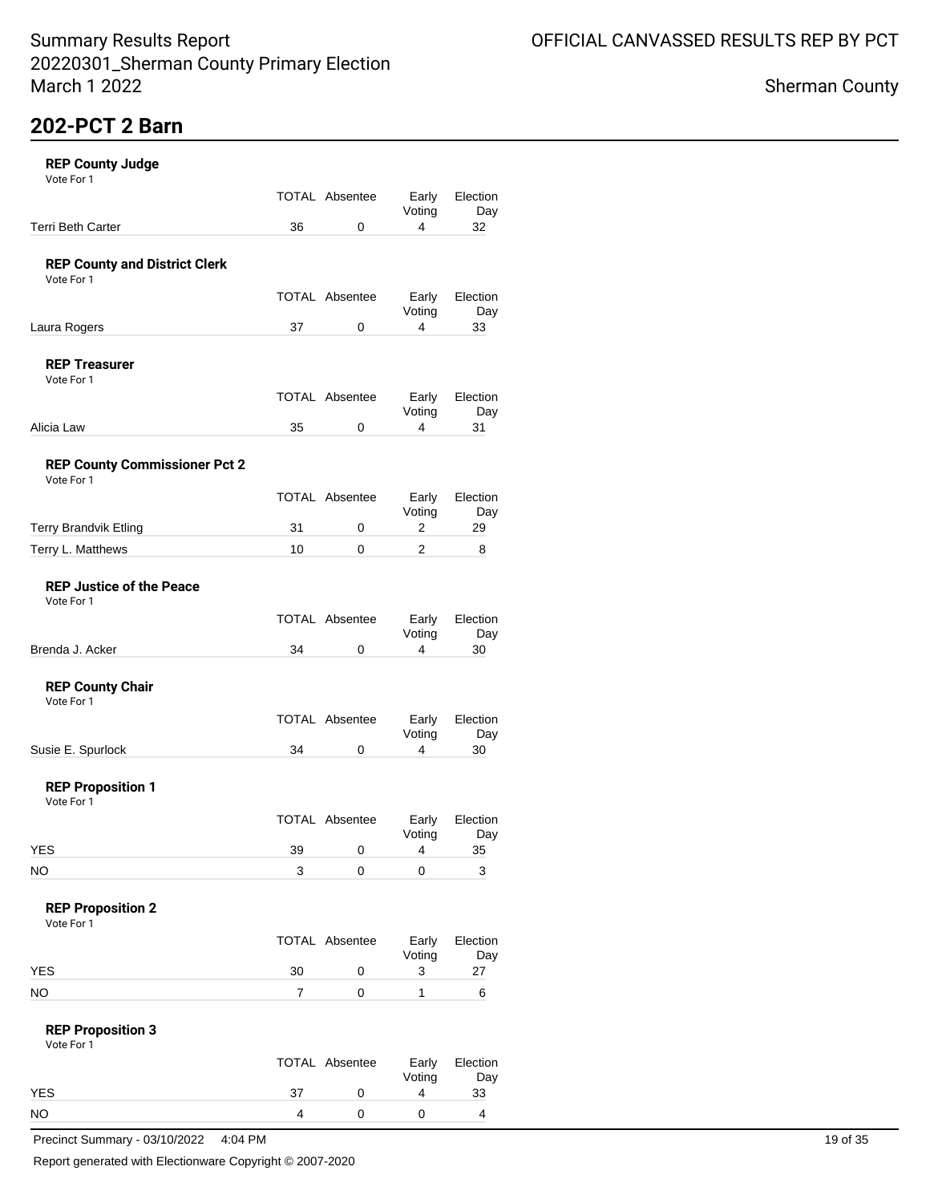## **202-PCT 2 Barn**

|  | <b>REP County Judge</b> |  |
|--|-------------------------|--|
|--|-------------------------|--|

| <b>REP County Judge</b><br>Vote For 1              |    |                       |                 |                 |
|----------------------------------------------------|----|-----------------------|-----------------|-----------------|
|                                                    |    | <b>TOTAL Absentee</b> | Early<br>Voting | Election<br>Day |
| <b>Terri Beth Carter</b>                           | 36 | 0                     | 4               | 32              |
| <b>REP County and District Clerk</b><br>Vote For 1 |    |                       |                 |                 |
|                                                    |    | <b>TOTAL Absentee</b> | Early<br>Voting | Election<br>Day |
| Laura Rogers                                       | 37 | 0                     | 4               | 33              |
| <b>REP Treasurer</b><br>Vote For 1                 |    |                       |                 |                 |
|                                                    |    | <b>TOTAL Absentee</b> | Early<br>Voting | Election<br>Day |
| Alicia Law                                         | 35 | 0                     | 4               | 31              |
| <b>REP County Commissioner Pct 2</b><br>Vote For 1 |    |                       |                 |                 |
|                                                    |    | <b>TOTAL Absentee</b> | Early<br>Voting | Election<br>Day |
| <b>Terry Brandvik Etling</b>                       | 31 | 0                     | 2               | 29              |
| Terry L. Matthews                                  | 10 | $\Omega$              | 2               | 8               |
| <b>REP Justice of the Peace</b><br>Vote For 1      |    |                       |                 |                 |
|                                                    |    | <b>TOTAL Absentee</b> | Early<br>Voting | Election<br>Day |
| Brenda J. Acker                                    | 34 | 0                     | 4               | 30              |
| <b>REP County Chair</b><br>Vote For 1              |    |                       |                 |                 |
|                                                    |    | <b>TOTAL Absentee</b> | Early<br>Voting | Election<br>Day |
| Susie E. Spurlock                                  | 34 | 0                     | 4               | 30              |
| <b>REP Proposition 1</b><br>Vote For 1             |    |                       |                 |                 |
|                                                    |    | <b>TOTAL Absentee</b> | Early<br>Voting | Election<br>Day |
| <b>YES</b>                                         | 39 | 0                     | 4               | 35              |
| NO.                                                | 3  | 0                     | 0               | 3               |
| <b>REP Proposition 2</b><br>Vote For 1             |    |                       |                 |                 |
|                                                    |    | TOTAL Absentee        | Early<br>Voting | Election<br>Day |
| <b>YES</b>                                         | 30 | 0                     | 3               | 27              |
| <b>NO</b>                                          | 7  | 0                     | 1               | 6               |
| <b>REP Proposition 3</b><br>Vote For 1             |    |                       |                 |                 |
|                                                    |    | TOTAL Absentee        | Early<br>Voting | Election<br>Day |
| <b>YES</b>                                         | 37 | 0                     | 4               | 33              |
| <b>NO</b>                                          | 4  | 0                     | 0               | 4               |

Precinct Summary - 03/10/2022 4:04 PM 19 of 35

Report generated with Electionware Copyright © 2007-2020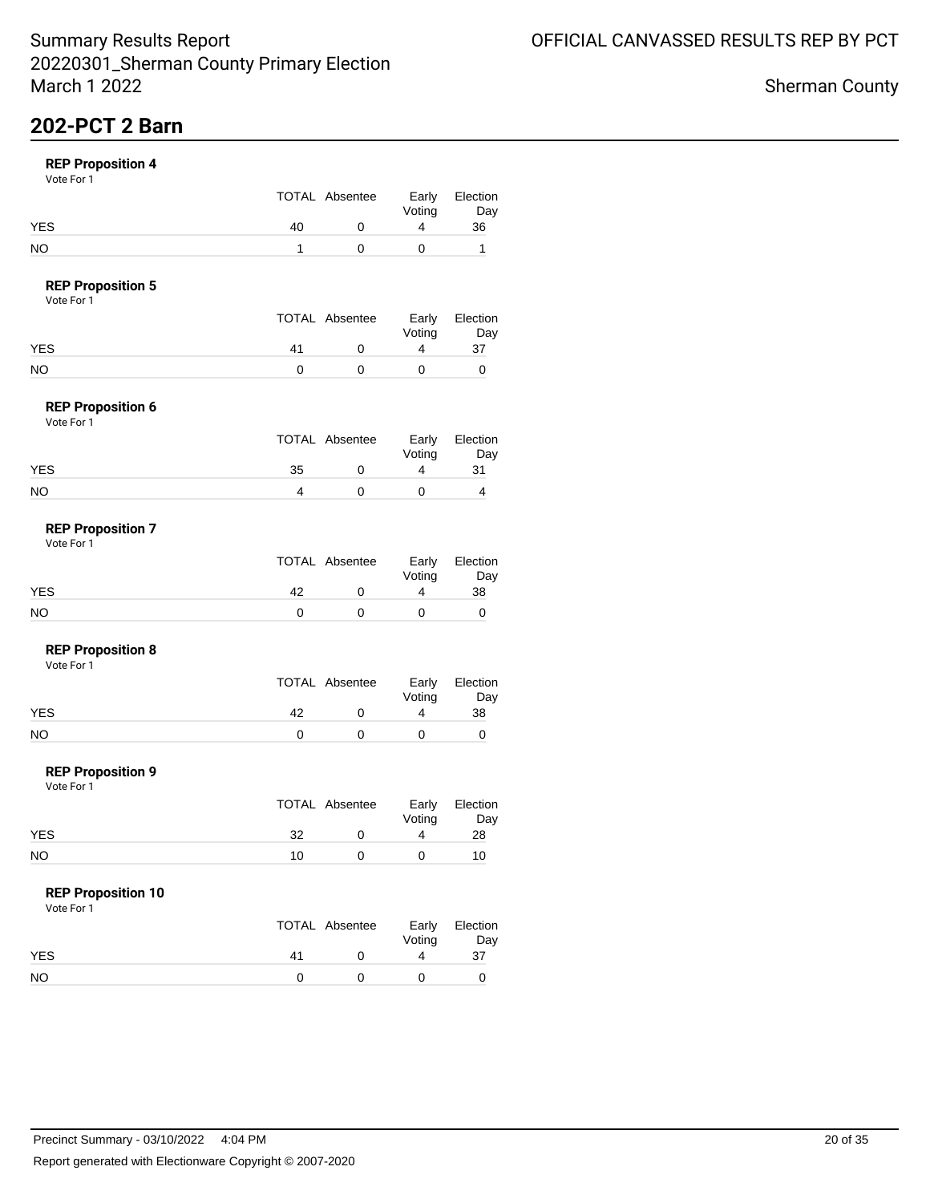## **202-PCT 2 Barn**

### **REP Proposition 4**

Vote For 1

|            |    | TOTAL Absentee | Early<br>Voting | Election<br>Day |
|------------|----|----------------|-----------------|-----------------|
| <b>YES</b> | 40 |                |                 | 36              |
| NO         |    |                |                 |                 |

### **REP Proposition 5**

Vote For 1

|    | Early          | Election |
|----|----------------|----------|
|    | Voting         | Day      |
| 41 |                | 37       |
|    |                |          |
|    | TOTAL Absentee |          |

#### **REP Proposition 6** Vote For 1

| 1 J J J J J J |    |                |                 |                 |
|---------------|----|----------------|-----------------|-----------------|
|               |    | TOTAL Absentee | Early<br>Voting | Election<br>Day |
| <b>YES</b>    | 35 |                |                 | 31              |
| <b>NO</b>     |    |                |                 |                 |

#### **REP Proposition 7** Vote For 1

|     |    | TOTAL Absentee | Voting | Early Election<br>Day |
|-----|----|----------------|--------|-----------------------|
| YES | 42 |                |        | 38                    |
| NO  |    |                |        |                       |

#### **REP Proposition 8**

Vote For 1

|     |    | TOTAL Absentee | Voting | Early Election<br>Day |
|-----|----|----------------|--------|-----------------------|
| YES | 42 |                |        | 38                    |
| NO  |    |                |        |                       |

#### **REP Proposition 9**

Vote For 1

|            |    | TOTAL Absentee | Voting | Early Election<br>Day |
|------------|----|----------------|--------|-----------------------|
| <b>YES</b> | 32 |                |        | 28                    |
| NO         | 10 |                |        | 10                    |

### **REP Proposition 10**

|            |    | TOTAL Absentee | Voting | Early Election<br>Day |
|------------|----|----------------|--------|-----------------------|
| <b>YES</b> | 41 |                |        | 37                    |
| <b>NO</b>  |    |                |        |                       |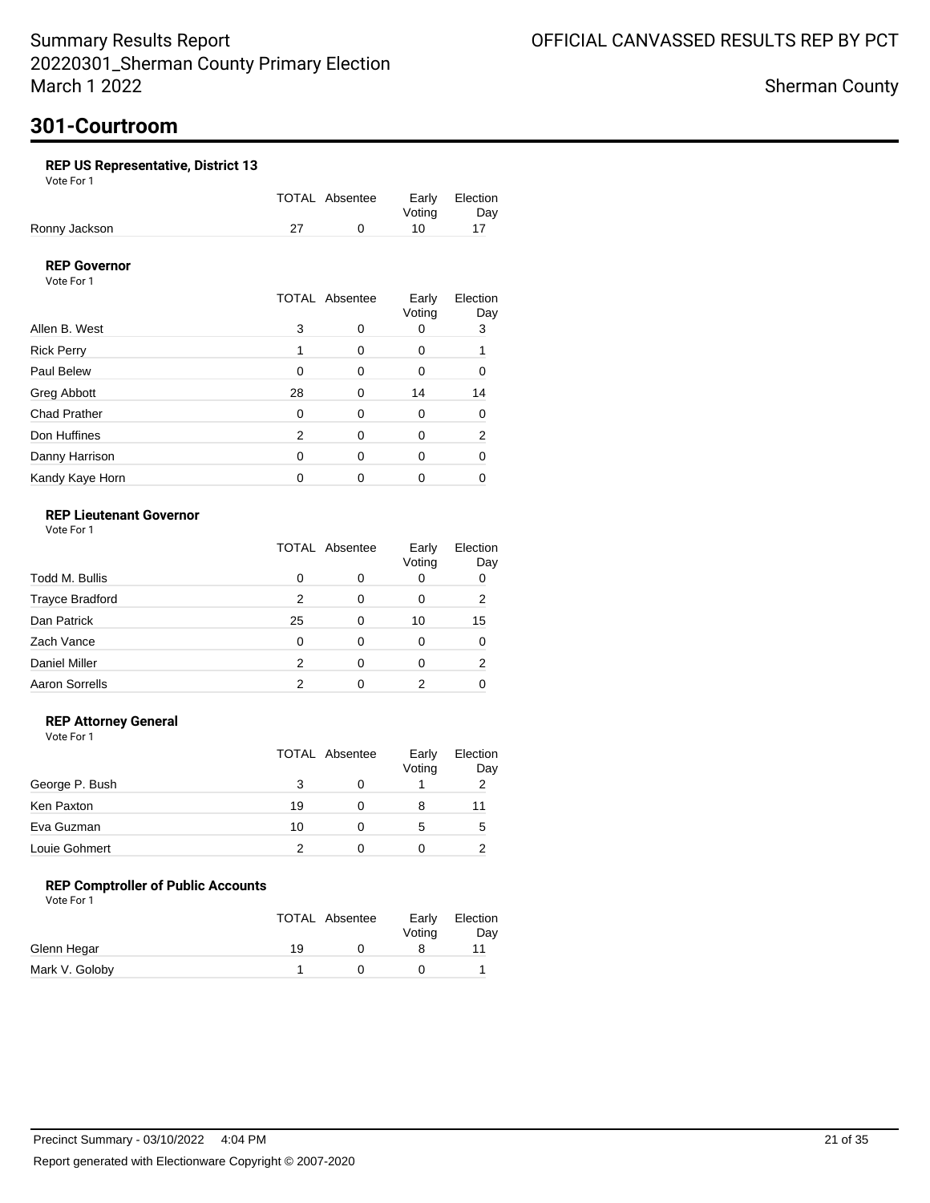## **301-Courtroom**

### **REP US Representative, District 13**

Vote For 1

|               | TOTAL Absentee |        | Early Election |
|---------------|----------------|--------|----------------|
|               |                | Votina | Day            |
| Ronny Jackson |                | 10     |                |

### **REP Governor**

Vote For 1

|                     |          | <b>TOTAL Absentee</b> | Early<br>Voting | Election<br>Day |
|---------------------|----------|-----------------------|-----------------|-----------------|
| Allen B. West       | 3        | O                     |                 | 3               |
| <b>Rick Perry</b>   |          | 0                     | 0               |                 |
| Paul Belew          | $\Omega$ | 0                     | 0               | n               |
| Greg Abbott         | 28       | 0                     | 14              | 14              |
| <b>Chad Prather</b> | $\Omega$ | 0                     | 0               | ∩               |
| Don Huffines        | 2        | $\Omega$              | Ω               | 2               |
| Danny Harrison      | 0        | 0                     | 0               |                 |
| Kandy Kaye Horn     |          | 0                     |                 |                 |

### **REP Lieutenant Governor**

Vote For 1

|                        | <b>TOTAL Absentee</b> |   | Early<br>Voting | Election<br>Day |
|------------------------|-----------------------|---|-----------------|-----------------|
| Todd M. Bullis         | 0                     | O | 0               |                 |
| <b>Trayce Bradford</b> | 2                     | 0 | 0               | 2               |
| Dan Patrick            | 25                    | 0 | 10              | 15              |
| Zach Vance             | 0                     | 0 |                 |                 |
| <b>Daniel Miller</b>   | 2                     | ∩ |                 | 2               |
| <b>Aaron Sorrells</b>  | 2                     |   |                 |                 |

### **REP Attorney General**

Vote For 1

|                |    | TOTAL Absentee | Early<br>Voting | Election<br>Day |
|----------------|----|----------------|-----------------|-----------------|
| George P. Bush |    |                |                 | 2               |
| Ken Paxton     | 19 |                | 8               | 11              |
| Eva Guzman     | 10 |                | 5               | 5               |
| Louie Gohmert  |    |                |                 |                 |

### **REP Comptroller of Public Accounts**

|                |    | TOTAL Absentee | Early<br>Votina | Election<br>Day |
|----------------|----|----------------|-----------------|-----------------|
| Glenn Hegar    | 19 |                |                 |                 |
| Mark V. Goloby |    |                |                 |                 |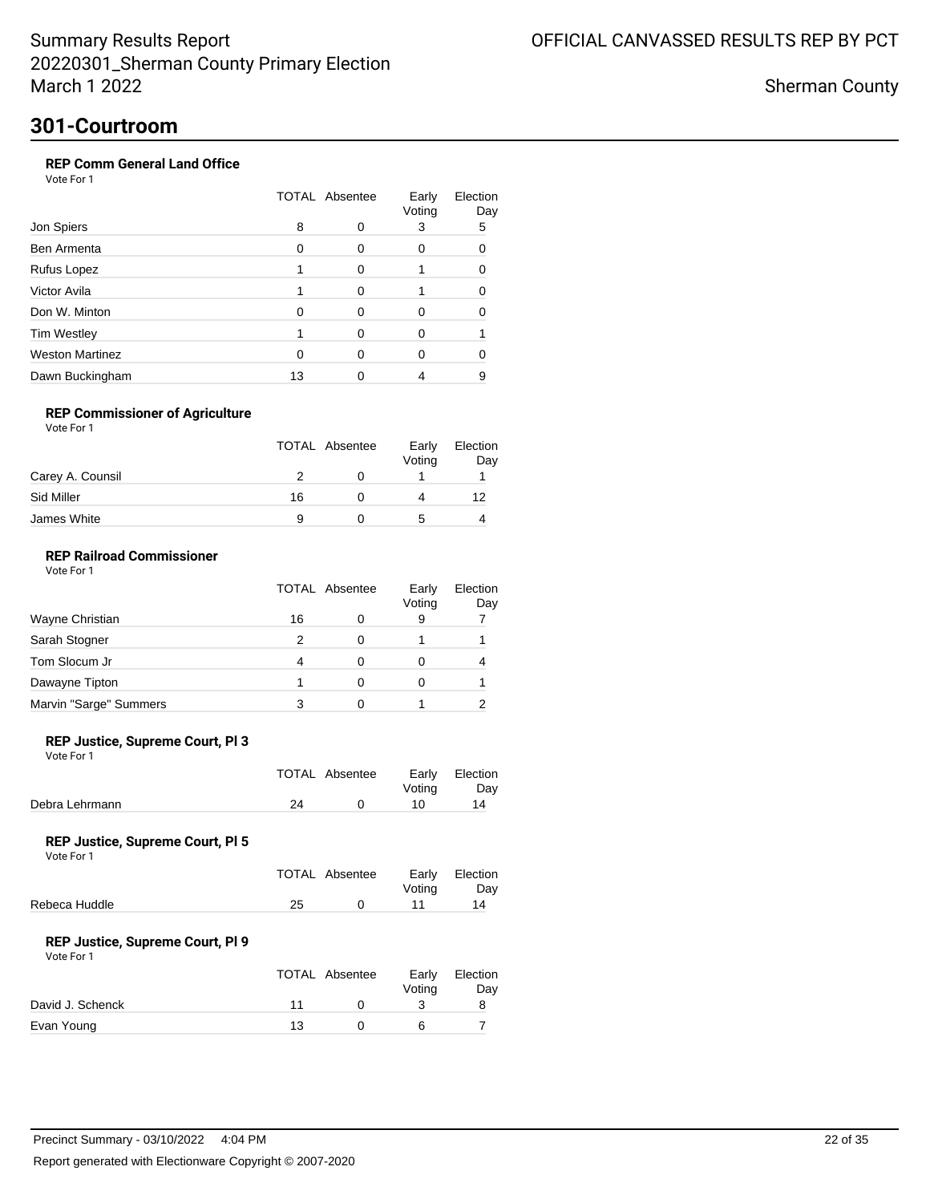Sherman County

## **301-Courtroom**

### **REP Comm General Land Office**

Vote For 1

| Jon Spiers             |    | <b>TOTAL Absentee</b> |   | Election<br>Day |  |
|------------------------|----|-----------------------|---|-----------------|--|
|                        | 8  |                       | 3 | 5               |  |
| Ben Armenta            | O  | ∩                     |   | n               |  |
| Rufus Lopez            |    | ∩                     |   |                 |  |
| Victor Avila           |    | ∩                     |   |                 |  |
| Don W. Minton          | O  | ∩                     |   |                 |  |
| <b>Tim Westley</b>     |    |                       | O |                 |  |
| <b>Weston Martinez</b> |    |                       |   |                 |  |
| Dawn Buckingham        | 13 |                       |   | 9               |  |

### **REP Commissioner of Agriculture**

Vote For 1

|                  | <b>TOTAL Absentee</b> | Early<br>Voting | Election<br>Day |
|------------------|-----------------------|-----------------|-----------------|
| Carey A. Counsil |                       |                 |                 |
| Sid Miller       | 16                    |                 | 12              |
| James White      | 9                     | :5              |                 |

### **REP Railroad Commissioner**

Vote For 1

|                        | <b>TOTAL Absentee</b> |   | Early<br>Voting | Election<br>Day |
|------------------------|-----------------------|---|-----------------|-----------------|
| Wayne Christian        | 16                    | 0 | 9               |                 |
| Sarah Stogner          | 2                     |   |                 |                 |
| Tom Slocum Jr          | 4                     |   |                 |                 |
| Dawayne Tipton         |                       |   |                 |                 |
| Marvin "Sarge" Summers |                       |   |                 |                 |

#### **REP Justice, Supreme Court, Pl 3**

Vote For 1

|                |    | TOTAL Absentee | Votina | Early Election<br>Day |
|----------------|----|----------------|--------|-----------------------|
| Debra Lehrmann | 24 |                | 10     | 14                    |

#### **REP Justice, Supreme Court, Pl 5**

Vote For 1

|               |    | TOTAL Absentee | Votina | Early Election<br>Dav |
|---------------|----|----------------|--------|-----------------------|
| Rebeca Huddle | 25 |                | 11     | 14                    |

#### **REP Justice, Supreme Court, Pl 9**

|                  | <b>TOTAL Absentee</b> | Early<br>Votina | Election<br>Day |
|------------------|-----------------------|-----------------|-----------------|
| David J. Schenck | 11                    |                 |                 |
| Evan Young       | 13                    |                 |                 |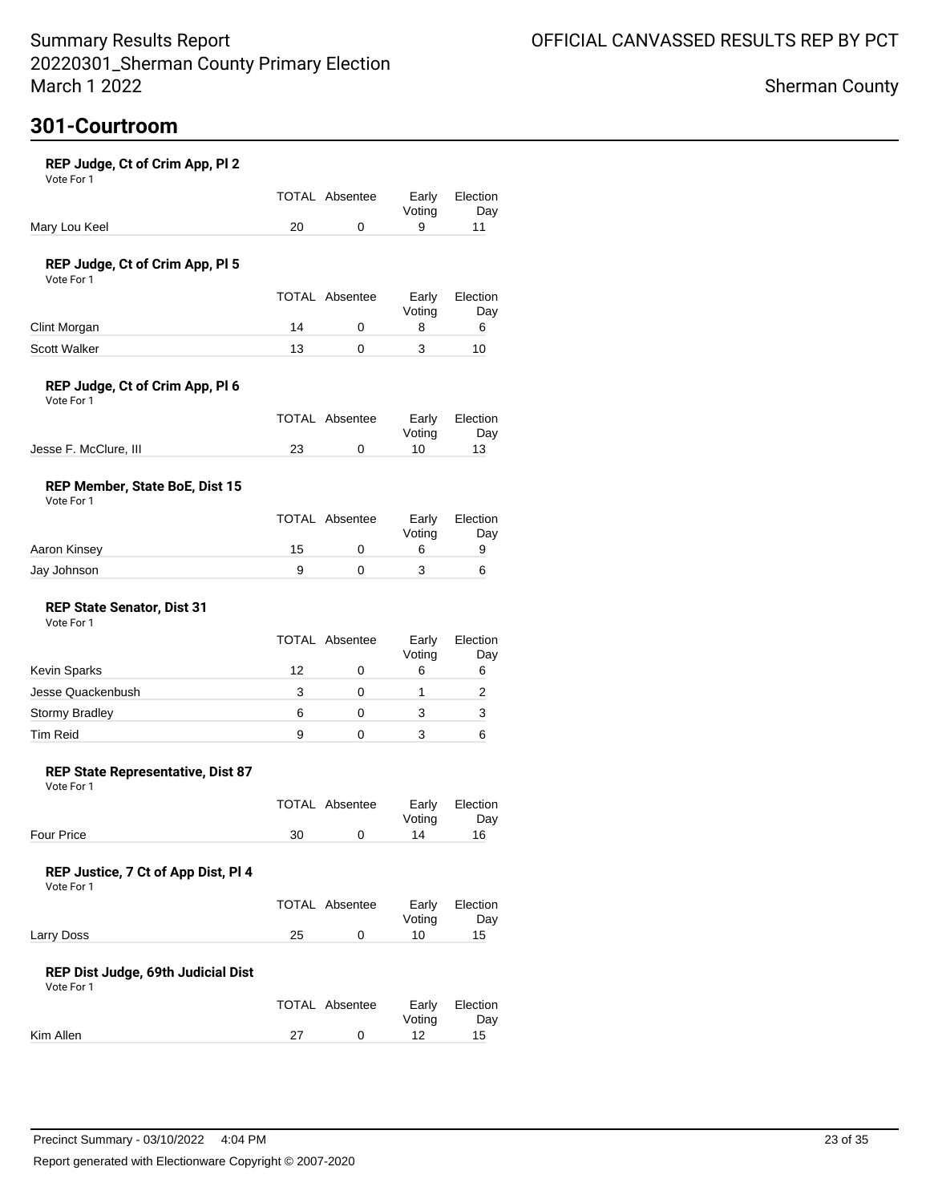# **301-Courtroom**

| REP Judge, Ct of Crim App, Pl 2<br>Vote For 1     |    |                       |                 |                 |
|---------------------------------------------------|----|-----------------------|-----------------|-----------------|
|                                                   |    | <b>TOTAL Absentee</b> | Early<br>Voting | Election<br>Day |
| Mary Lou Keel                                     | 20 | 0                     | 9               | 11              |
| REP Judge, Ct of Crim App, Pl 5<br>Vote For 1     |    |                       |                 |                 |
|                                                   |    | TOTAL Absentee        | Early<br>Voting | Election<br>Day |
| Clint Morgan                                      | 14 | 0                     | 8               | 6               |
| <b>Scott Walker</b>                               | 13 | 0                     | 3               | 10              |
| REP Judge, Ct of Crim App, Pl 6<br>Vote For 1     |    |                       |                 |                 |
|                                                   |    | <b>TOTAL Absentee</b> | Early<br>Voting | Election<br>Day |
| Jesse F. McClure, III                             | 23 | 0                     | 10              | 13              |
| REP Member, State BoE, Dist 15<br>Vote For 1      |    |                       |                 |                 |
|                                                   |    | <b>TOTAL Absentee</b> | Early<br>Voting | Election<br>Day |
| Aaron Kinsey                                      | 15 | 0                     | 6               | 9               |
| Jay Johnson                                       | 9  | 0                     | 3               | 6               |
| <b>REP State Senator, Dist 31</b><br>Vote For 1   |    |                       |                 |                 |
|                                                   |    | <b>TOTAL Absentee</b> | Early<br>Voting | Election<br>Day |
| <b>Kevin Sparks</b>                               | 12 | 0                     | 6               | 6               |
| Jesse Quackenbush                                 | 3  | 0                     | 1               | 2               |
| <b>Stormy Bradley</b>                             | 6  | 0                     | 3               | 3               |
| <b>Tim Reid</b>                                   | 9  | 0                     | 3               | 6               |
| REP State Representative, Dist 87<br>Vote For 1   |    |                       |                 |                 |
|                                                   |    | <b>TOTAL Absentee</b> | Early<br>Voting | Election<br>Day |
| Four Price                                        | 30 | 0                     | 14              | 16              |
| REP Justice, 7 Ct of App Dist, Pl 4<br>Vote For 1 |    |                       |                 |                 |
|                                                   |    | TOTAL Absentee        | Early<br>Voting | Election<br>Day |
| Larry Doss                                        | 25 | 0                     | 10              | 15              |
| REP Dist Judge, 69th Judicial Dist<br>Vote For 1  |    |                       |                 |                 |
|                                                   |    | <b>TOTAL Absentee</b> | Early<br>Voting | Election<br>Day |

Kim Allen 27 0 12 15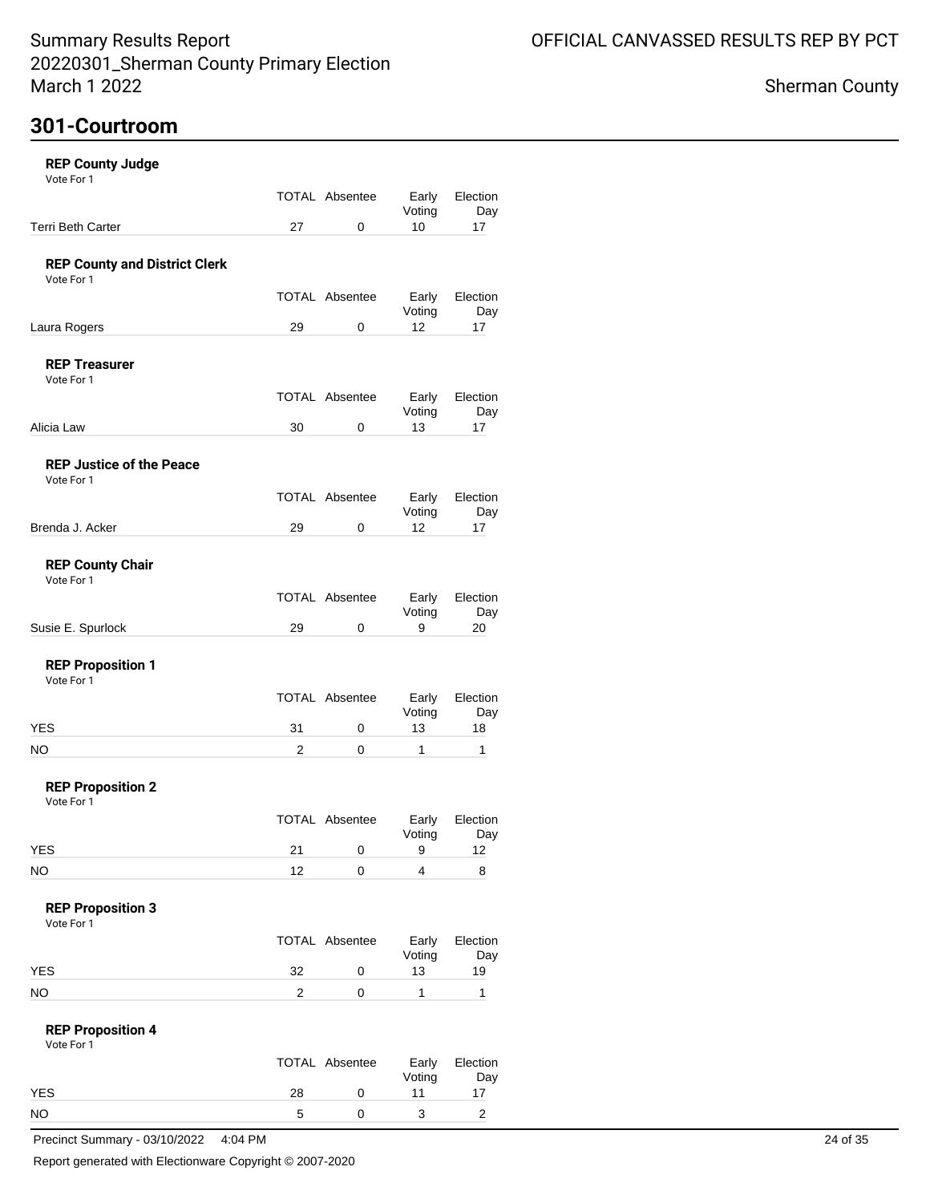# **301-Courtroom**

| TOTAL Absentee<br>Early<br>Voting<br><b>Terri Beth Carter</b><br>27<br>10<br>0<br>17<br><b>REP County and District Clerk</b><br>Vote For 1<br>TOTAL Absentee<br>Early<br>Voting<br>12<br>Laura Rogers<br>29<br>0<br>17<br><b>REP Treasurer</b><br>Vote For 1<br>TOTAL Absentee<br>Early<br>Voting<br>13<br>Alicia Law<br>30<br>0<br>17<br><b>REP Justice of the Peace</b><br>Vote For 1<br><b>TOTAL Absentee</b><br>Early<br>Voting<br>12<br>Brenda J. Acker<br>29<br>0<br>17<br><b>REP County Chair</b><br>Vote For 1<br>TOTAL Absentee<br>Early<br>Voting<br>29<br>9<br>Susie E. Spurlock<br>0<br>20<br><b>REP Proposition 1</b><br>Vote For 1<br>TOTAL Absentee<br>Early<br>Voting<br><b>YES</b><br>31<br>13<br>0<br>18<br>1<br>NO.<br>2<br>$\Omega$<br>1<br><b>REP Proposition 2</b><br>Vote For 1<br><b>TOTAL Absentee</b><br>Early<br>Voting<br><b>YES</b><br>21<br>0<br>9<br>12<br><b>NO</b><br>12<br>4<br>0<br>8<br><b>REP Proposition 3</b><br>Vote For 1<br><b>TOTAL Absentee</b><br>Early<br>Voting<br><b>YES</b><br>32<br>13<br>19<br>0<br><b>NO</b><br>1<br>1<br>2<br>0<br><b>REP Proposition 4</b><br>Vote For 1<br>TOTAL Absentee<br>Early<br>Voting<br><b>YES</b><br>28<br>11<br>0<br>17<br><b>NO</b><br>3<br>$\overline{2}$<br>5<br>0 | <b>REP County Judge</b><br>Vote For 1 |  |                 |
|--------------------------------------------------------------------------------------------------------------------------------------------------------------------------------------------------------------------------------------------------------------------------------------------------------------------------------------------------------------------------------------------------------------------------------------------------------------------------------------------------------------------------------------------------------------------------------------------------------------------------------------------------------------------------------------------------------------------------------------------------------------------------------------------------------------------------------------------------------------------------------------------------------------------------------------------------------------------------------------------------------------------------------------------------------------------------------------------------------------------------------------------------------------------------------------------------------------------------------------------------------|---------------------------------------|--|-----------------|
|                                                                                                                                                                                                                                                                                                                                                                                                                                                                                                                                                                                                                                                                                                                                                                                                                                                                                                                                                                                                                                                                                                                                                                                                                                                        |                                       |  | Election<br>Day |
|                                                                                                                                                                                                                                                                                                                                                                                                                                                                                                                                                                                                                                                                                                                                                                                                                                                                                                                                                                                                                                                                                                                                                                                                                                                        |                                       |  |                 |
|                                                                                                                                                                                                                                                                                                                                                                                                                                                                                                                                                                                                                                                                                                                                                                                                                                                                                                                                                                                                                                                                                                                                                                                                                                                        |                                       |  |                 |
|                                                                                                                                                                                                                                                                                                                                                                                                                                                                                                                                                                                                                                                                                                                                                                                                                                                                                                                                                                                                                                                                                                                                                                                                                                                        |                                       |  | Election<br>Day |
|                                                                                                                                                                                                                                                                                                                                                                                                                                                                                                                                                                                                                                                                                                                                                                                                                                                                                                                                                                                                                                                                                                                                                                                                                                                        |                                       |  |                 |
|                                                                                                                                                                                                                                                                                                                                                                                                                                                                                                                                                                                                                                                                                                                                                                                                                                                                                                                                                                                                                                                                                                                                                                                                                                                        |                                       |  |                 |
|                                                                                                                                                                                                                                                                                                                                                                                                                                                                                                                                                                                                                                                                                                                                                                                                                                                                                                                                                                                                                                                                                                                                                                                                                                                        |                                       |  | Election<br>Day |
|                                                                                                                                                                                                                                                                                                                                                                                                                                                                                                                                                                                                                                                                                                                                                                                                                                                                                                                                                                                                                                                                                                                                                                                                                                                        |                                       |  |                 |
|                                                                                                                                                                                                                                                                                                                                                                                                                                                                                                                                                                                                                                                                                                                                                                                                                                                                                                                                                                                                                                                                                                                                                                                                                                                        |                                       |  |                 |
|                                                                                                                                                                                                                                                                                                                                                                                                                                                                                                                                                                                                                                                                                                                                                                                                                                                                                                                                                                                                                                                                                                                                                                                                                                                        |                                       |  | Election<br>Day |
|                                                                                                                                                                                                                                                                                                                                                                                                                                                                                                                                                                                                                                                                                                                                                                                                                                                                                                                                                                                                                                                                                                                                                                                                                                                        |                                       |  |                 |
|                                                                                                                                                                                                                                                                                                                                                                                                                                                                                                                                                                                                                                                                                                                                                                                                                                                                                                                                                                                                                                                                                                                                                                                                                                                        |                                       |  |                 |
|                                                                                                                                                                                                                                                                                                                                                                                                                                                                                                                                                                                                                                                                                                                                                                                                                                                                                                                                                                                                                                                                                                                                                                                                                                                        |                                       |  | Election<br>Day |
|                                                                                                                                                                                                                                                                                                                                                                                                                                                                                                                                                                                                                                                                                                                                                                                                                                                                                                                                                                                                                                                                                                                                                                                                                                                        |                                       |  |                 |
|                                                                                                                                                                                                                                                                                                                                                                                                                                                                                                                                                                                                                                                                                                                                                                                                                                                                                                                                                                                                                                                                                                                                                                                                                                                        |                                       |  |                 |
|                                                                                                                                                                                                                                                                                                                                                                                                                                                                                                                                                                                                                                                                                                                                                                                                                                                                                                                                                                                                                                                                                                                                                                                                                                                        |                                       |  | Election<br>Day |
|                                                                                                                                                                                                                                                                                                                                                                                                                                                                                                                                                                                                                                                                                                                                                                                                                                                                                                                                                                                                                                                                                                                                                                                                                                                        |                                       |  |                 |
|                                                                                                                                                                                                                                                                                                                                                                                                                                                                                                                                                                                                                                                                                                                                                                                                                                                                                                                                                                                                                                                                                                                                                                                                                                                        |                                       |  |                 |
|                                                                                                                                                                                                                                                                                                                                                                                                                                                                                                                                                                                                                                                                                                                                                                                                                                                                                                                                                                                                                                                                                                                                                                                                                                                        |                                       |  |                 |
|                                                                                                                                                                                                                                                                                                                                                                                                                                                                                                                                                                                                                                                                                                                                                                                                                                                                                                                                                                                                                                                                                                                                                                                                                                                        |                                       |  | Election<br>Day |
|                                                                                                                                                                                                                                                                                                                                                                                                                                                                                                                                                                                                                                                                                                                                                                                                                                                                                                                                                                                                                                                                                                                                                                                                                                                        |                                       |  |                 |
|                                                                                                                                                                                                                                                                                                                                                                                                                                                                                                                                                                                                                                                                                                                                                                                                                                                                                                                                                                                                                                                                                                                                                                                                                                                        |                                       |  |                 |
|                                                                                                                                                                                                                                                                                                                                                                                                                                                                                                                                                                                                                                                                                                                                                                                                                                                                                                                                                                                                                                                                                                                                                                                                                                                        |                                       |  |                 |
|                                                                                                                                                                                                                                                                                                                                                                                                                                                                                                                                                                                                                                                                                                                                                                                                                                                                                                                                                                                                                                                                                                                                                                                                                                                        |                                       |  | Election<br>Day |
|                                                                                                                                                                                                                                                                                                                                                                                                                                                                                                                                                                                                                                                                                                                                                                                                                                                                                                                                                                                                                                                                                                                                                                                                                                                        |                                       |  |                 |
|                                                                                                                                                                                                                                                                                                                                                                                                                                                                                                                                                                                                                                                                                                                                                                                                                                                                                                                                                                                                                                                                                                                                                                                                                                                        |                                       |  |                 |
|                                                                                                                                                                                                                                                                                                                                                                                                                                                                                                                                                                                                                                                                                                                                                                                                                                                                                                                                                                                                                                                                                                                                                                                                                                                        |                                       |  |                 |
|                                                                                                                                                                                                                                                                                                                                                                                                                                                                                                                                                                                                                                                                                                                                                                                                                                                                                                                                                                                                                                                                                                                                                                                                                                                        |                                       |  | Election<br>Day |
|                                                                                                                                                                                                                                                                                                                                                                                                                                                                                                                                                                                                                                                                                                                                                                                                                                                                                                                                                                                                                                                                                                                                                                                                                                                        |                                       |  |                 |
|                                                                                                                                                                                                                                                                                                                                                                                                                                                                                                                                                                                                                                                                                                                                                                                                                                                                                                                                                                                                                                                                                                                                                                                                                                                        |                                       |  |                 |

Precinct Summary - 03/10/2022 4:04 PM 24 of 35

Report generated with Electionware Copyright © 2007-2020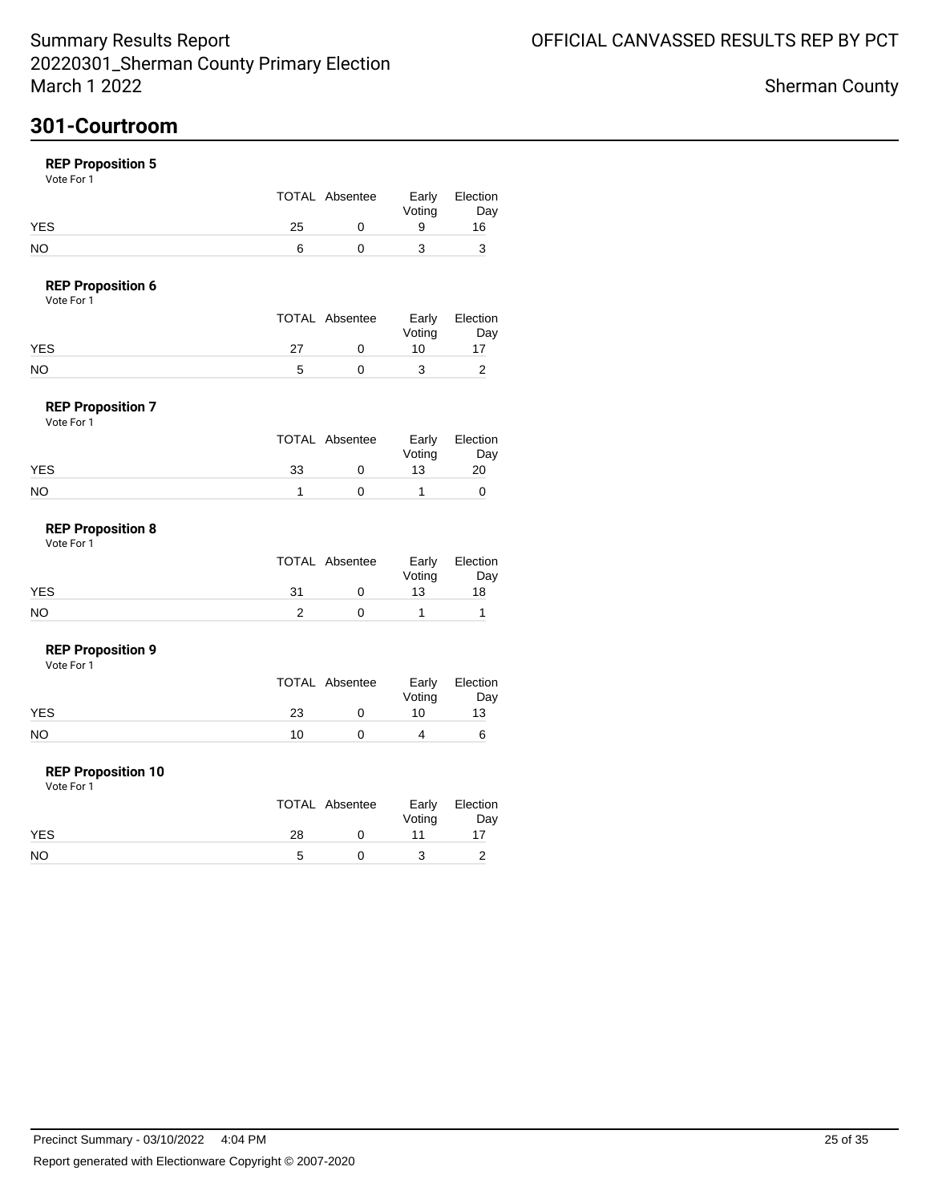## **301-Courtroom**

### **REP Proposition 5**

Vote For 1

|            |    | TOTAL Absentee | Early<br>Voting | Election<br>Day |
|------------|----|----------------|-----------------|-----------------|
| <b>YES</b> | 25 |                |                 | 16              |
| NO         |    |                |                 |                 |

### **REP Proposition 6**

Vote For 1

|    | Early          | Election |
|----|----------------|----------|
|    | Voting         | Day      |
| 27 | 10             |          |
|    |                |          |
|    | TOTAL Absentee |          |

#### **REP Proposition 7** Vote For 1

| 1 J J J J J J |                |                 |                 |
|---------------|----------------|-----------------|-----------------|
|               | TOTAL Absentee | Early<br>Voting | Election<br>Day |
| <b>YES</b>    | 33             | 13              | 20              |
| <b>NO</b>     |                |                 |                 |

#### **REP Proposition 8** Vote For 1

|     |     | TOTAL Absentee | Voting | Early Election<br>Day |
|-----|-----|----------------|--------|-----------------------|
| YES | -31 |                | 13     | 18                    |
| NO  |     |                |        |                       |

#### **REP Proposition 9**

Vote For 1

|     | TOTAL Absentee | Voting | Early Election<br>Day |
|-----|----------------|--------|-----------------------|
| YES | 23             | 10     | 13                    |
| NO  | 10             |        |                       |

#### **REP Proposition 10**

|            |    | TOTAL Absentee | Voting | Early Election<br>Day |
|------------|----|----------------|--------|-----------------------|
| <b>YES</b> | 28 |                |        |                       |
| <b>NO</b>  |    |                |        |                       |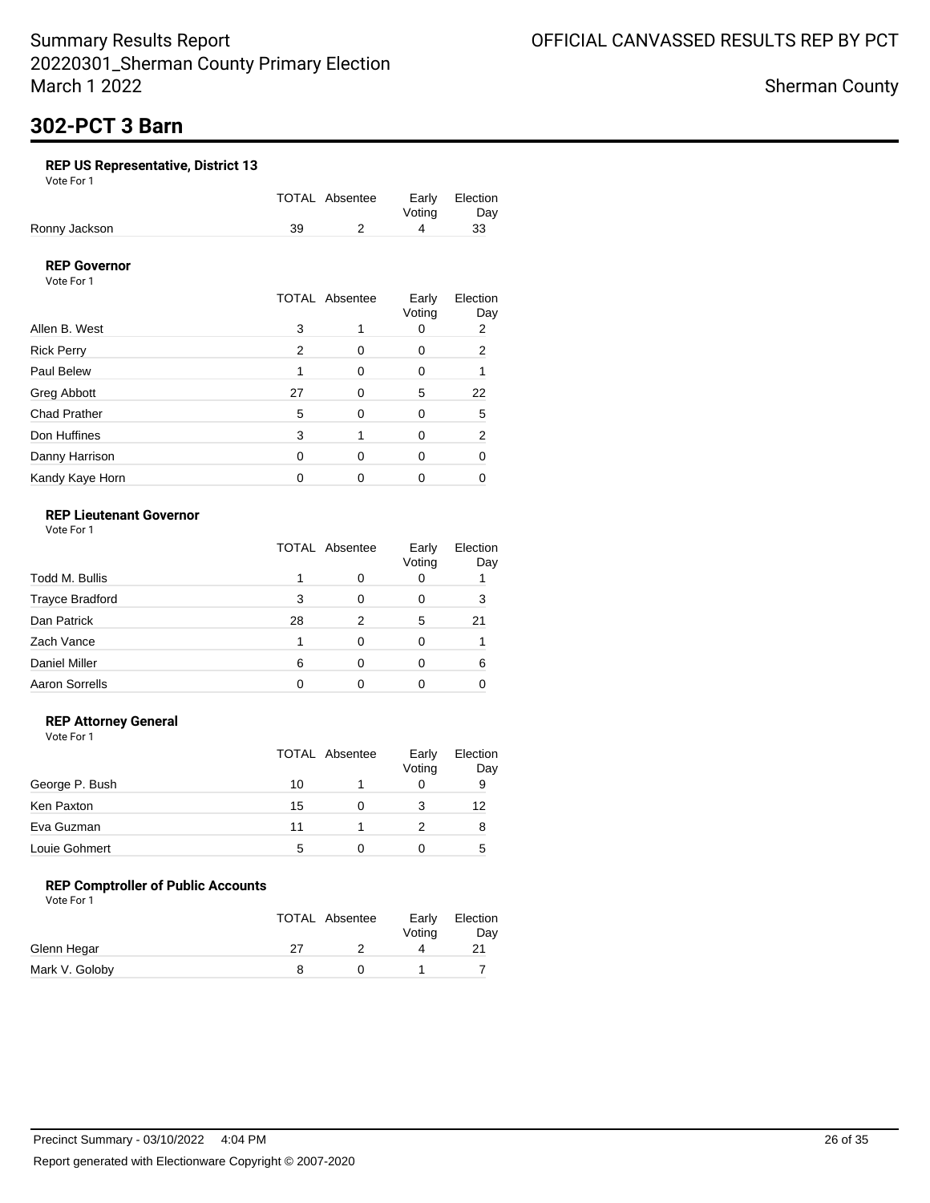Sherman County

# **302-PCT 3 Barn**

### **REP US Representative, District 13**

Vote For 1

|               |    | TOTAL Absentee |        | Early Election |
|---------------|----|----------------|--------|----------------|
|               |    |                | Votina | Day            |
| Ronny Jackson | 39 |                |        | 33             |

### **REP Governor**

Vote For 1

|                     |    | <b>TOTAL Absentee</b> | Early<br>Voting | Election<br>Day |
|---------------------|----|-----------------------|-----------------|-----------------|
| Allen B. West       | 3  |                       |                 | 2               |
| <b>Rick Perry</b>   | 2  | O                     | 0               | 2               |
| Paul Belew          |    | ∩                     | 0               |                 |
| Greg Abbott         | 27 | ∩                     | 5               | 22              |
| <b>Chad Prather</b> | 5  | 0                     | 0               | 5               |
| Don Huffines        | 3  |                       | 0               | 2               |
| Danny Harrison      | 0  | O                     | 0               | ŋ               |
| Kandy Kaye Horn     |    |                       | Ω               |                 |

### **REP Lieutenant Governor**

Vote For 1

|                        | <b>TOTAL Absentee</b> |   | Early<br>Voting | Election<br>Day |
|------------------------|-----------------------|---|-----------------|-----------------|
| Todd M. Bullis         |                       |   | O               |                 |
| <b>Trayce Bradford</b> | 3                     | 0 |                 | 3               |
| Dan Patrick            | 28                    | 2 | 5               | 21              |
| Zach Vance             |                       |   |                 |                 |
| <b>Daniel Miller</b>   | 6                     | O |                 | 6               |
| <b>Aaron Sorrells</b>  |                       |   |                 |                 |

### **REP Attorney General**

Vote For 1

|                | TOTAL Absentee |   | Early<br>Voting | Election<br>Day |
|----------------|----------------|---|-----------------|-----------------|
| George P. Bush | 10             |   |                 | 9               |
| Ken Paxton     | 15             | O |                 | 12              |
| Eva Guzman     | 11             |   |                 | 8               |
| Louie Gohmert  | 5              | 0 |                 | 5               |

### **REP Comptroller of Public Accounts**

|                |    | <b>TOTAL Absentee</b> | Early<br>Voting | Election<br>Day |
|----------------|----|-----------------------|-----------------|-----------------|
| Glenn Hegar    | 27 |                       |                 |                 |
| Mark V. Goloby |    |                       |                 |                 |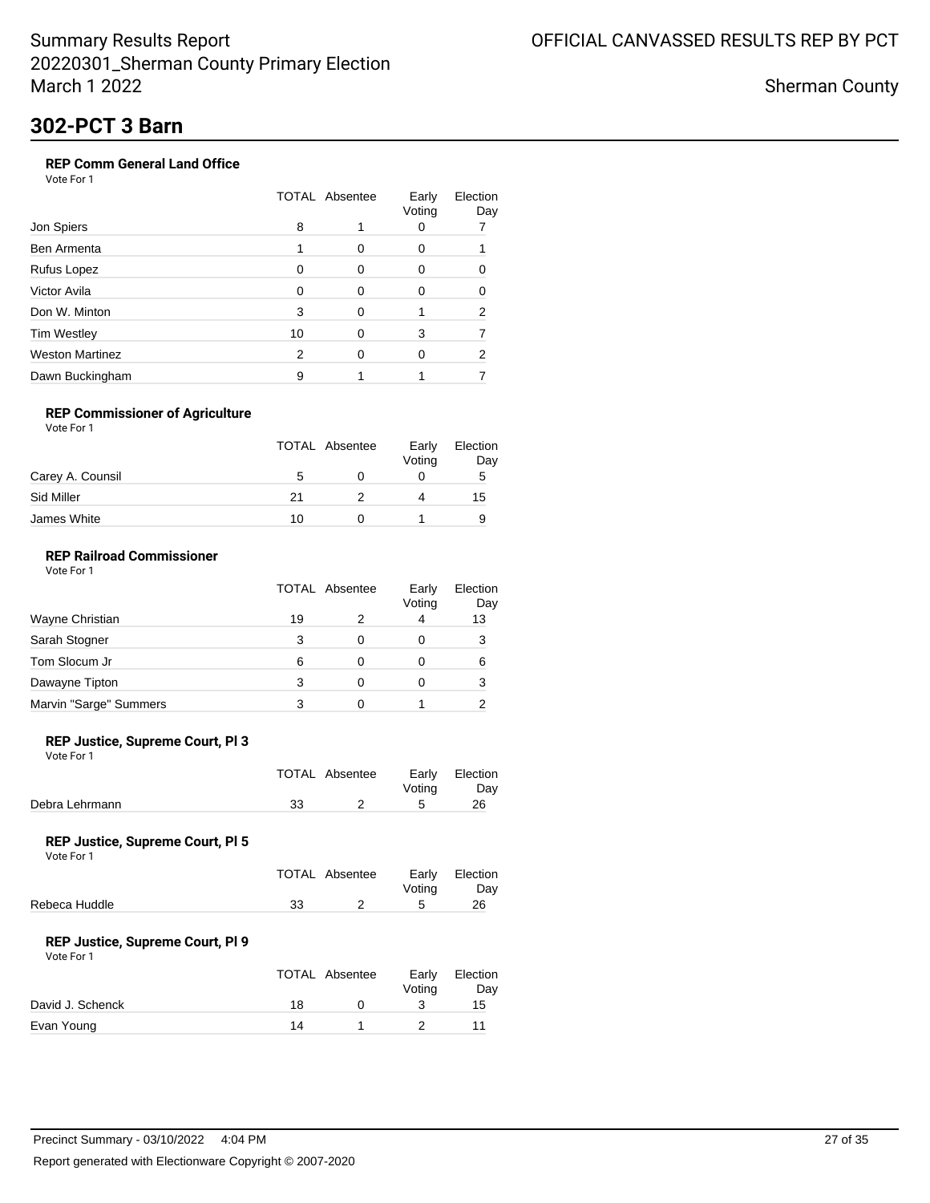Sherman County

## **302-PCT 3 Barn**

### **REP Comm General Land Office**

Vote For 1

|                 | <b>TOTAL Absentee</b> |          | Early<br>Voting | Election<br>Day |
|-----------------|-----------------------|----------|-----------------|-----------------|
| Jon Spiers      | 8                     |          |                 |                 |
| Ben Armenta     |                       | 0        | 0               |                 |
| Rufus Lopez     | O                     | 0        | O               |                 |
| Victor Avila    | 0                     | 0        | O               |                 |
| Don W. Minton   | 3                     | $\Omega$ |                 | 2               |
| Tim Westley     | 10                    | 0        | 3               |                 |
| Weston Martinez | 2                     | 0        | 0               | 2               |
| Dawn Buckingham | 9                     |          |                 |                 |

### **REP Commissioner of Agriculture**

|                  | TOTAL Absentee | Early<br>Voting | Election<br>Day |
|------------------|----------------|-----------------|-----------------|
| Carey A. Counsil | 5              |                 | 5               |
| Sid Miller       | 21             |                 | 15              |
| James White      | 10             |                 |                 |

### **REP Railroad Commissioner**

|                        | <b>TOTAL Absentee</b> | Early<br>Voting | Election<br>Day |
|------------------------|-----------------------|-----------------|-----------------|
| Wayne Christian        | 19                    | 4               | 13              |
| Sarah Stogner          |                       |                 |                 |
| Tom Slocum Jr          | 6                     |                 | 6               |
| Dawayne Tipton         | 3                     |                 | 3               |
| Marvin "Sarge" Summers |                       |                 |                 |

### **REP Justice, Supreme Court, Pl 3**

Vote For 1

|                | TOTAL Absentee | Early Election<br>Votina | Day |
|----------------|----------------|--------------------------|-----|
| Debra Lehrmann |                |                          | 26  |
|                |                |                          |     |

#### **REP Justice, Supreme Court, Pl 5**

Vote For 1

|               |    | TOTAL Absentee | Votina | Early Election<br>Dav |
|---------------|----|----------------|--------|-----------------------|
| Rebeca Huddle | 33 |                |        | 26                    |

#### **REP Justice, Supreme Court, Pl 9**

|                  |    | TOTAL Absentee | Early<br>Votina | Election<br>Day |
|------------------|----|----------------|-----------------|-----------------|
| David J. Schenck | 18 |                |                 | 15              |
| Evan Young       | 14 |                |                 | 11              |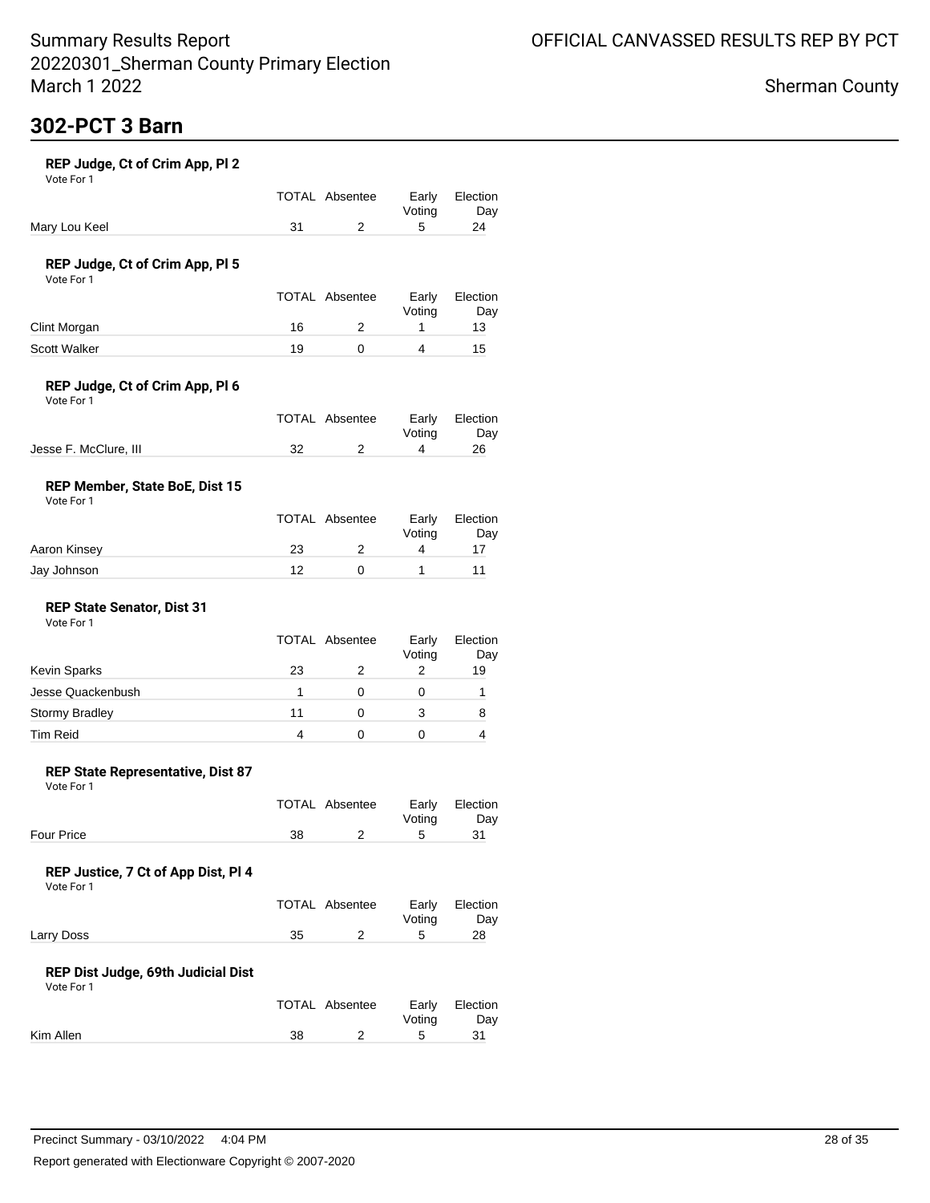# **302-PCT 3 Barn**

| REP Judge, Ct of Crim App, Pl 2 |  |  |
|---------------------------------|--|--|
|---------------------------------|--|--|

Vote For 1

|               |    | TOTAL Absentee | Early Election<br>Votina | Day |
|---------------|----|----------------|--------------------------|-----|
| Mary Lou Keel | 31 |                |                          | 24  |

### **REP Judge, Ct of Crim App, Pl 5**

Vote For 1

|              |    | TOTAL Absentee | Early<br>Votina | Election<br>Dav |
|--------------|----|----------------|-----------------|-----------------|
| Clint Morgan | 16 |                |                 | 13              |
| Scott Walker | 19 |                |                 | 15              |

### **REP Judge, Ct of Crim App, Pl 6**

| Vote For 1 |  |
|------------|--|
|------------|--|

|                       | TOTAL Absentee |        | Early Election |
|-----------------------|----------------|--------|----------------|
|                       |                | Votina | Dav            |
| Jesse F. McClure, III |                |        | 26             |

### **REP Member, State BoE, Dist 15**

| Vote For 1 |
|------------|
|------------|

|              |    | TOTAL Absentee | Early<br>Votina | Election<br>Day |
|--------------|----|----------------|-----------------|-----------------|
| Aaron Kinsey | 23 |                |                 |                 |
| Jay Johnson  | ィっ |                |                 |                 |

#### **REP State Senator, Dist 31** Vote For 1

|    | Early<br>Voting | Election<br>Day |
|----|-----------------|-----------------|
| 23 |                 | 19              |
|    |                 |                 |
| 11 |                 | 8               |
|    |                 |                 |
|    | TOTAL Absentee  |                 |

#### **REP State Representative, Dist 87**

Vote For 1

|            |    | TOTAL Absentee |        | Early Election |
|------------|----|----------------|--------|----------------|
|            |    |                | Votina | Dav            |
| Four Price | 38 |                |        |                |

### **REP Justice, 7 Ct of App Dist, Pl 4**

Vote For 1

|            |    | TOTAL Absentee |        | Early Election |
|------------|----|----------------|--------|----------------|
|            |    |                | Votina | Day            |
| Larry Doss | 35 |                |        | 28             |

#### **REP Dist Judge, 69th Judicial Dist**

|           |    | TOTAL Absentee | Votina | Early Election<br>Dav |
|-----------|----|----------------|--------|-----------------------|
| Kim Allen | 38 |                |        |                       |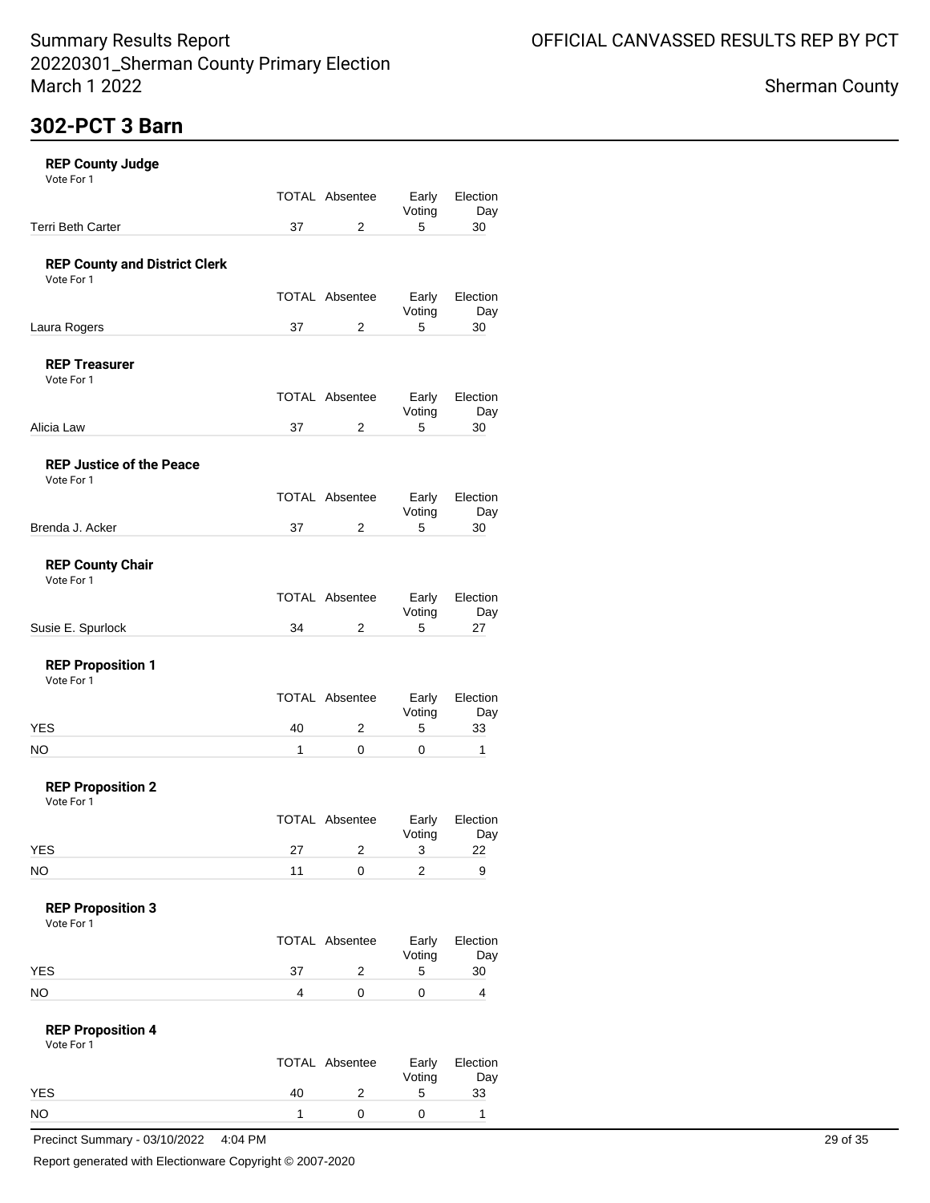Election Day<br>30

Election Day<br>30

Election Day<br>30

Election Day<br>30

Election Day<br>27

Election Day<br>33

Election Day

### Sherman County

| Vote For 1<br><b>Terri Beth Carter</b><br><b>REP County and District Clerk</b><br>Vote For 1 | 37           | TOTAL Absentee<br>2   | Early<br>Voting<br>5 | Electi |
|----------------------------------------------------------------------------------------------|--------------|-----------------------|----------------------|--------|
|                                                                                              |              |                       |                      |        |
|                                                                                              |              |                       |                      |        |
|                                                                                              |              |                       |                      |        |
|                                                                                              |              | <b>TOTAL Absentee</b> | Early<br>Voting      | Electi |
| Laura Rogers                                                                                 | 37           | 2                     | 5                    |        |
| <b>REP Treasurer</b><br>Vote For 1                                                           |              |                       |                      |        |
|                                                                                              |              | TOTAL Absentee        | Early<br>Voting      | Electi |
| Alicia Law                                                                                   | 37           | 2                     | 5                    |        |
| <b>REP Justice of the Peace</b><br>Vote For 1                                                |              |                       |                      |        |
|                                                                                              |              | <b>TOTAL Absentee</b> | Early<br>Voting      | Electi |
| Brenda J. Acker                                                                              | 37           | 2                     | 5                    |        |
| <b>REP County Chair</b><br>Vote For 1                                                        |              |                       |                      |        |
|                                                                                              |              | TOTAL Absentee        | Early<br>Voting      | Electi |
| Susie E. Spurlock                                                                            | 34           | 2                     | 5                    |        |
| <b>REP Proposition 1</b><br>Vote For 1                                                       |              |                       |                      |        |
|                                                                                              |              | <b>TOTAL Absentee</b> | Early<br>Voting      | Electi |
| <b>YES</b>                                                                                   | 40           | 2                     | 5                    |        |
| <b>NO</b>                                                                                    | $\mathbf{1}$ | 0                     | 0                    |        |
| <b>REP Proposition 2</b><br>Vote For 1                                                       |              |                       |                      |        |
|                                                                                              |              | TOTAL Absentee        | Early<br>Voting      | Electi |
| <b>YES</b>                                                                                   | 27           | 2                     | 3                    |        |

| Vote For 1 |  |  |
|------------|--|--|

|            |     | TOTAL Absentee | Voting | Early Election<br>Day |
|------------|-----|----------------|--------|-----------------------|
| <b>YES</b> | -37 |                |        | 30                    |
| <b>NO</b>  |     |                |        |                       |

#### **REP Proposition 4** Vote For 1

|    | Early<br>Voting | Election<br>Day |
|----|-----------------|-----------------|
| 40 | 5               | 33              |
|    |                 |                 |
|    | TOTAL Absentee  |                 |

Precinct Summary - 03/10/2022 4:04 PM 29 of 35

Report generated with Electionware Copyright © 2007-2020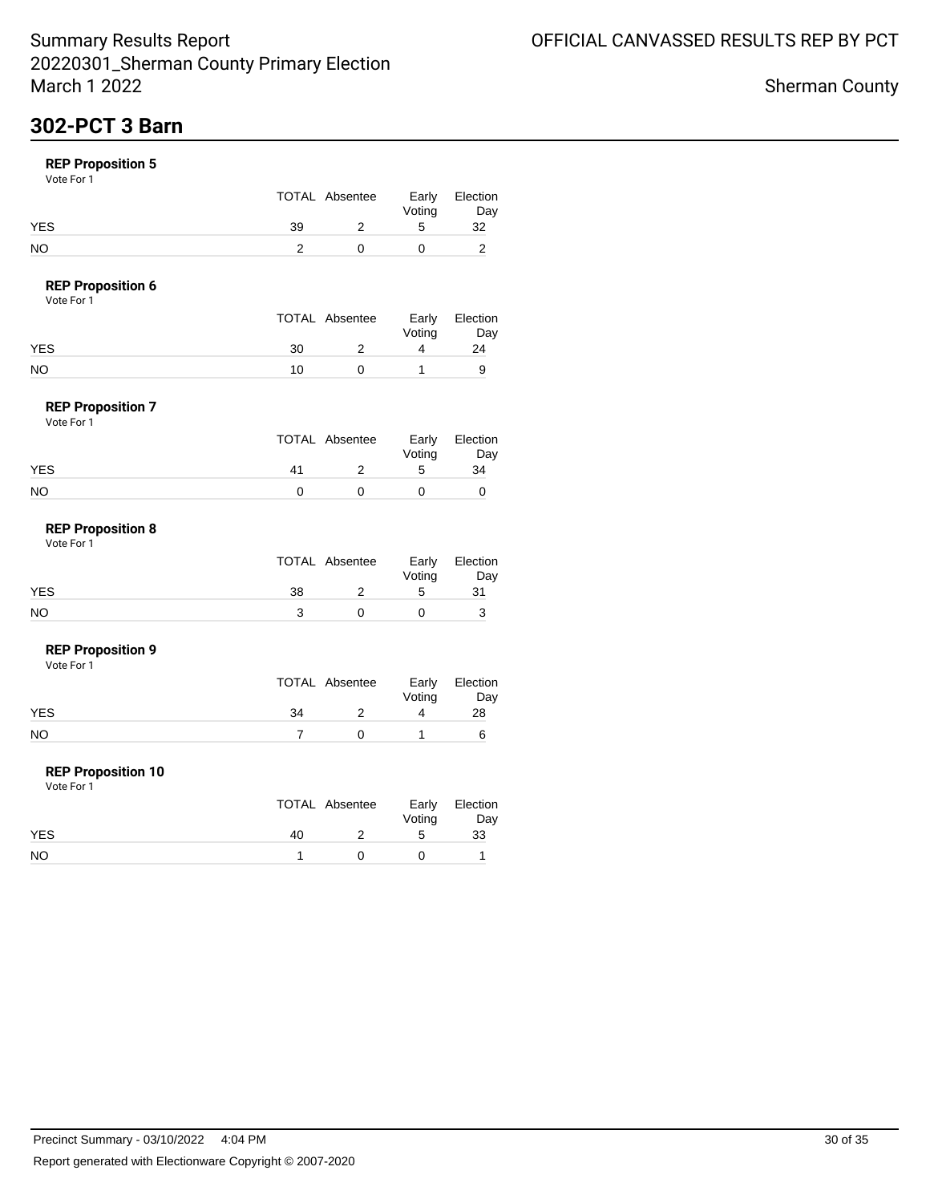## **302-PCT 3 Barn**

### **REP Proposition 5**

Vote For 1

|            |    | TOTAL Absentee | Early<br>Voting | Election<br>Day |
|------------|----|----------------|-----------------|-----------------|
| <b>YES</b> | 39 |                |                 | 32              |
| NO         |    |                |                 |                 |

### **REP Proposition 6**

| Vote For 1 |  |
|------------|--|
|------------|--|

|            |    | TOTAL Absentee | Early  | Election |
|------------|----|----------------|--------|----------|
|            |    |                | Voting | Day      |
| <b>YES</b> | 30 |                |        | 24       |
| NO         | 10 |                |        |          |

#### **REP Proposition 7** Vote For 1

| .          |    |                |                 |                 |
|------------|----|----------------|-----------------|-----------------|
|            |    | TOTAL Absentee | Early<br>Voting | Election<br>Day |
| <b>YES</b> | 41 |                | 5               | 34              |
| <b>NO</b>  |    |                |                 |                 |

#### **REP Proposition 8** Vote For 1

|            |    | TOTAL Absentee | Voting | Early Election<br>Day |
|------------|----|----------------|--------|-----------------------|
| <b>YES</b> | 38 |                | ∽      | 31                    |
| NO         |    |                |        |                       |

#### **REP Proposition 9**

Vote For 1

|     | TOTAL Absentee | Voting | Early Election<br>Day |
|-----|----------------|--------|-----------------------|
| YES | 34             |        | 28                    |
| NO  |                |        |                       |

#### **REP Proposition 10**

|            |    | TOTAL Absentee | Voting | Early Election<br>Day |
|------------|----|----------------|--------|-----------------------|
| <b>YES</b> | 40 |                | ∽      | 33                    |
| <b>NO</b>  |    |                |        |                       |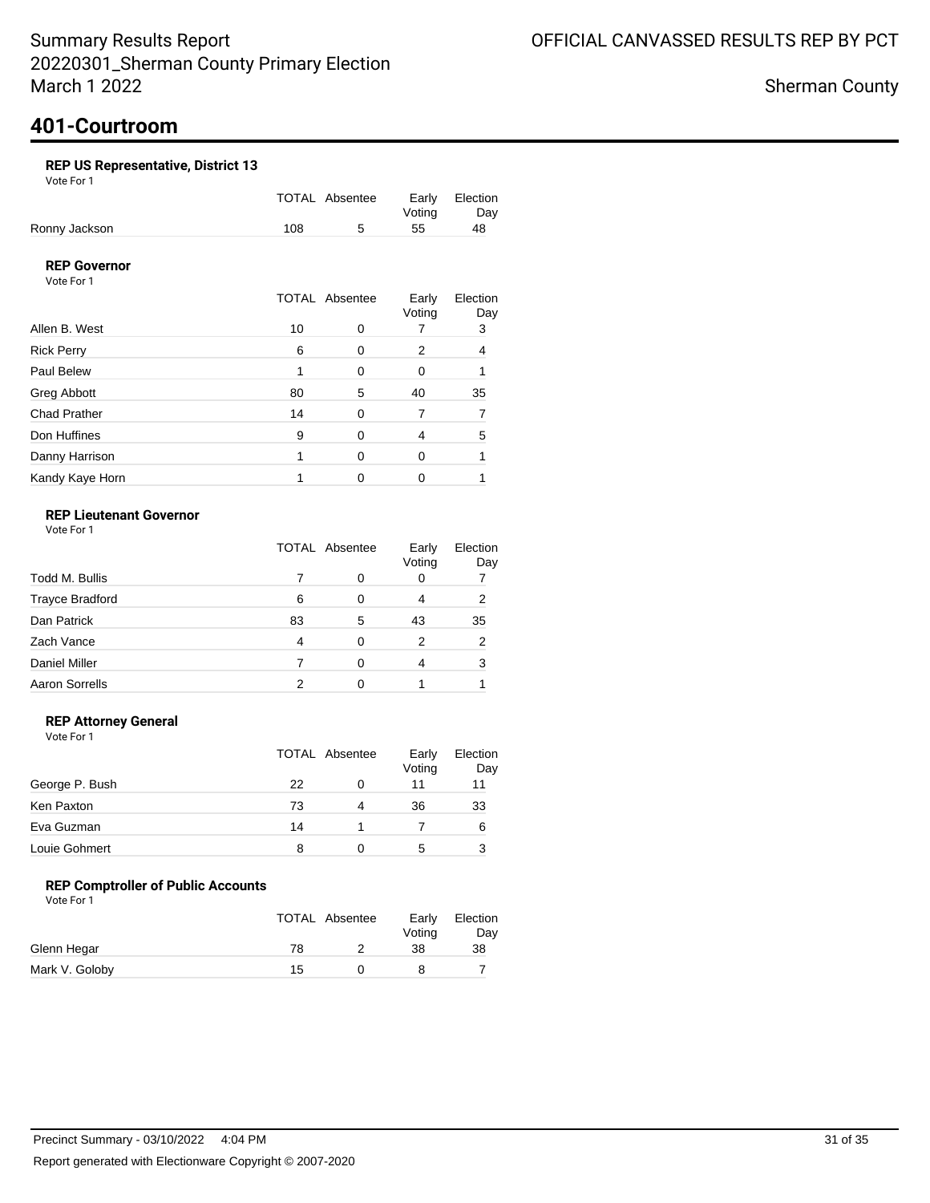## **401-Courtroom**

### **REP US Representative, District 13**

Vote For 1

|               |     | TOTAL Absentee | Early Election |     |
|---------------|-----|----------------|----------------|-----|
|               |     |                | Votina         | Day |
| Ronny Jackson | 108 |                | -55            | 48  |

### **REP Governor**

Vote For 1

|                     |    | <b>TOTAL Absentee</b> | Early<br>Voting | Election<br>Day |
|---------------------|----|-----------------------|-----------------|-----------------|
| Allen B. West       | 10 | O                     |                 | 3               |
| <b>Rick Perry</b>   | 6  | 0                     | 2               | 4               |
| Paul Belew          |    | 0                     | 0               |                 |
| Greg Abbott         | 80 | 5                     | 40              | 35              |
| <b>Chad Prather</b> | 14 | 0                     |                 |                 |
| Don Huffines        | 9  | 0                     | 4               | 5               |
| Danny Harrison      |    | 0                     | 0               |                 |
| Kandy Kaye Horn     |    | 0                     | 0               |                 |

### **REP Lieutenant Governor**

Vote For 1

|                        | TOTAL Absentee |   | Early<br>Voting | Election<br>Day |
|------------------------|----------------|---|-----------------|-----------------|
| Todd M. Bullis         |                |   | 0               |                 |
| <b>Trayce Bradford</b> | 6              | 0 | 4               | 2               |
| Dan Patrick            | 83             | 5 | 43              | 35              |
| Zach Vance             | 4              | 0 | 2               | 2               |
| <b>Daniel Miller</b>   |                | O | 4               | 3               |
| <b>Aaron Sorrells</b>  |                | ∩ |                 |                 |

### **REP Attorney General**

Vote For 1

|                | TOTAL Absentee |   | Early<br>Voting | Election<br>Day |
|----------------|----------------|---|-----------------|-----------------|
| George P. Bush | 22             |   |                 | 11              |
| Ken Paxton     | 73             | 4 | 36              | 33              |
| Eva Guzman     | 14             |   |                 | 6               |
| Louie Gohmert  | 8              | Ω | 5               |                 |

### **REP Comptroller of Public Accounts**

|                |    | TOTAL Absentee | Early<br>Voting | Election<br>Day |
|----------------|----|----------------|-----------------|-----------------|
| Glenn Hegar    | 78 |                | 38              | 38              |
| Mark V. Goloby | 15 |                |                 |                 |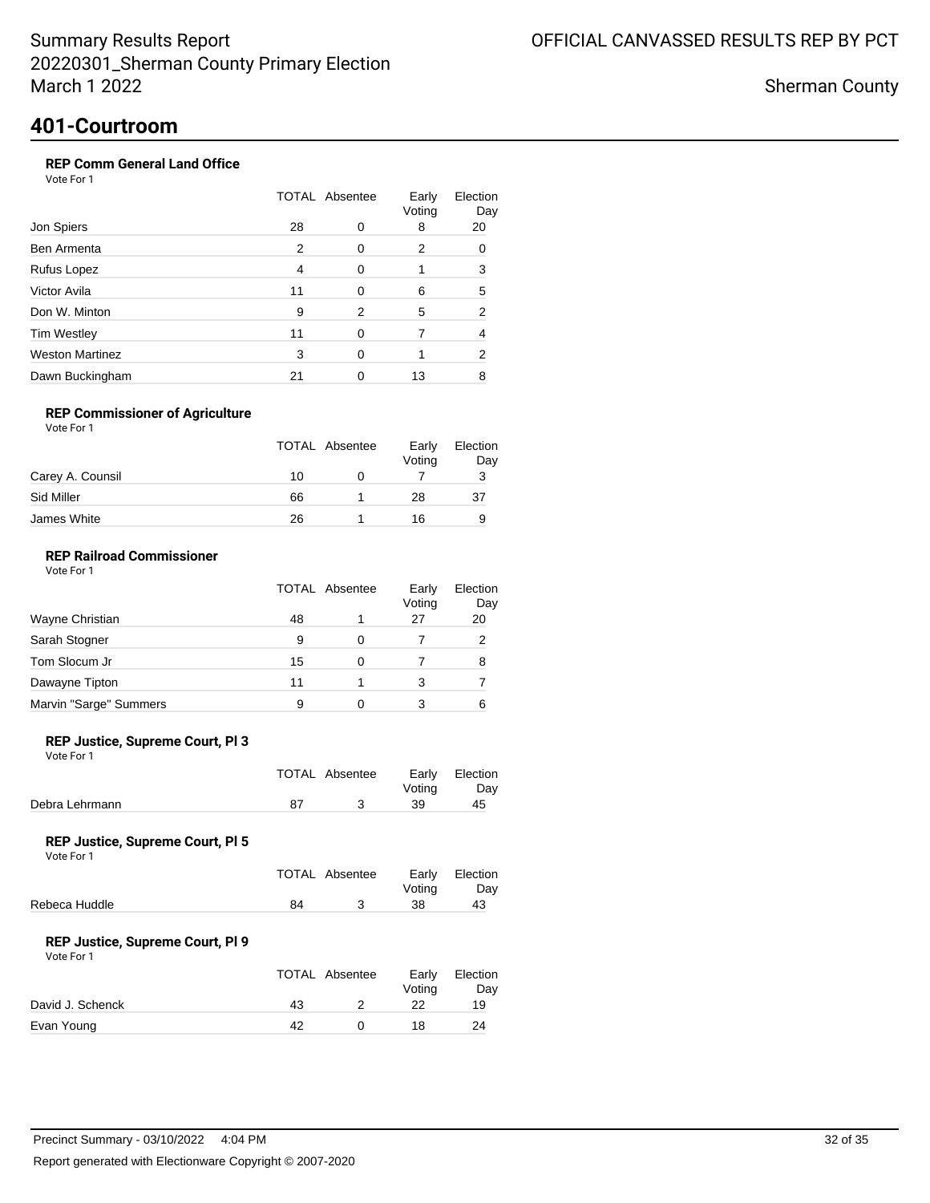Sherman County

## **401-Courtroom**

### **REP Comm General Land Office**

Vote For 1

| Jon Spiers             |    | <b>TOTAL Absentee</b> |             |           |
|------------------------|----|-----------------------|-------------|-----------|
|                        | 28 | 0                     | Voting<br>8 | Day<br>20 |
| Ben Armenta            | 2  | <sup>0</sup>          | 2           | 0         |
| Rufus Lopez            | 4  | $\Omega$              |             | 3         |
| Victor Avila           | 11 | O                     | 6           | 5         |
| Don W. Minton          | 9  | 2                     | 5           | 2         |
| <b>Tim Westley</b>     | 11 | 0                     |             | 4         |
| <b>Weston Martinez</b> | 3  | ∩                     |             | 2         |
| Dawn Buckingham        | 21 |                       | 13          | 8         |

### **REP Commissioner of Agriculture**

Vote For 1

|                  | <b>TOTAL Absentee</b> | Early<br>Voting | Election<br>Day |
|------------------|-----------------------|-----------------|-----------------|
| Carey A. Counsil | 10                    |                 |                 |
| Sid Miller       | 66                    | 28              | 37              |
| James White      | 26                    | 16              |                 |

### **REP Railroad Commissioner**

|                        | <b>TOTAL Absentee</b> | Early<br>Voting | Election<br>Day |
|------------------------|-----------------------|-----------------|-----------------|
| Wayne Christian        | 48                    | 27              | 20              |
| Sarah Stogner          | 9                     |                 |                 |
| Tom Slocum Jr          | 15                    |                 | 8               |
| Dawayne Tipton         | 11                    | 3               |                 |
| Marvin "Sarge" Summers | 9                     |                 | 6               |

#### **REP Justice, Supreme Court, Pl 3**

Vote For 1

|                | TOTAL Absentee | Votina | Early Election<br>Day |
|----------------|----------------|--------|-----------------------|
| Debra Lehrmann |                | -39    | 45                    |

#### **REP Justice, Supreme Court, Pl 5**

Vote For 1

|               |    | TOTAL Absentee | Votina | Early Election<br>Dav |
|---------------|----|----------------|--------|-----------------------|
| Rebeca Huddle | 84 |                | 38     | 43                    |
|               |    |                |        |                       |

#### **REP Justice, Supreme Court, Pl 9**

|                  | TOTAL Absentee | Early<br>Votina | Election<br>Day |
|------------------|----------------|-----------------|-----------------|
| David J. Schenck | 43             | 22              | 19              |
| Evan Young       | 42             | 18              | 24              |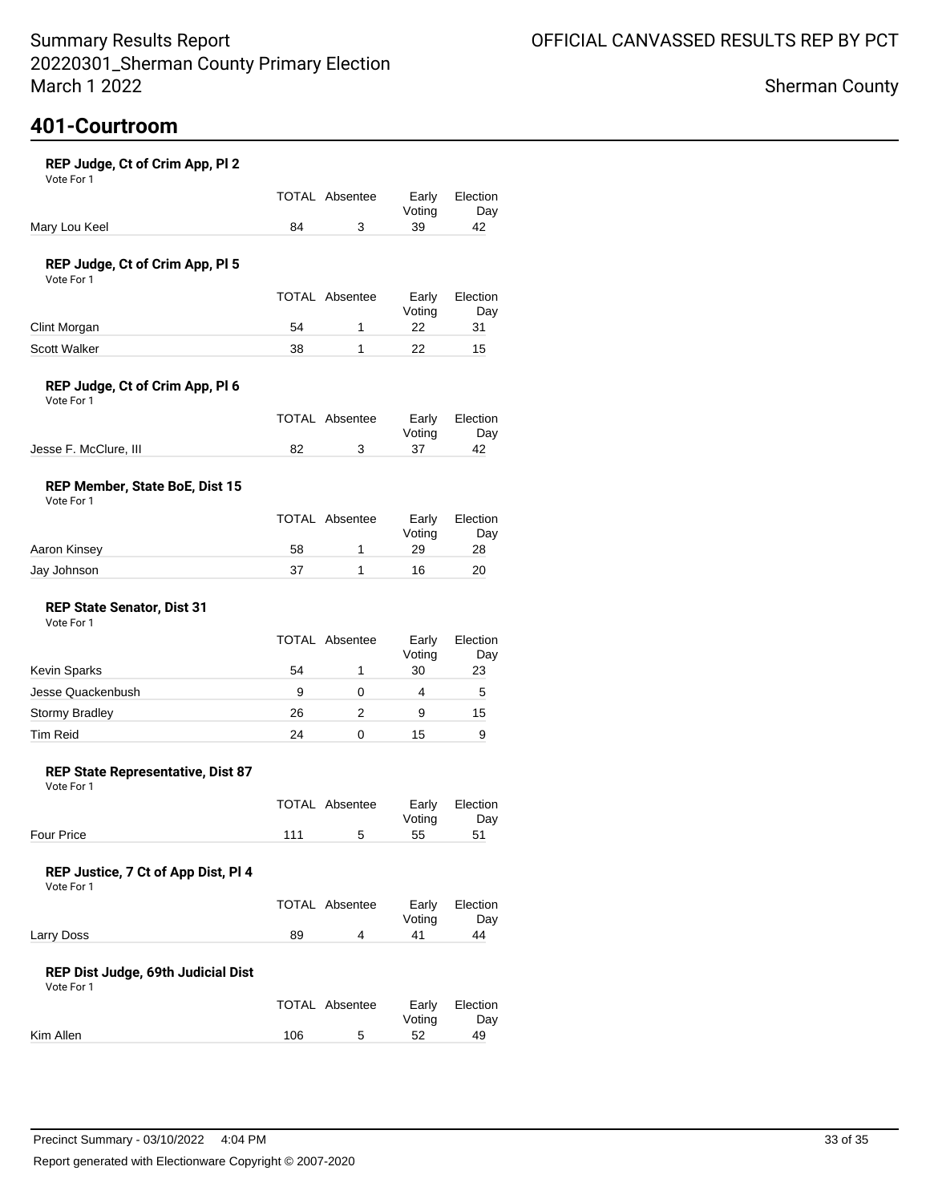# **401-Courtroom**

| REP Judge, Ct of Crim App, Pl 2<br>Vote For 1     |     |                       |                 |                 |
|---------------------------------------------------|-----|-----------------------|-----------------|-----------------|
|                                                   |     | <b>TOTAL Absentee</b> | Early<br>Voting | Election<br>Day |
| Mary Lou Keel                                     | 84  | 3                     | 39              | 42              |
| REP Judge, Ct of Crim App, PI 5<br>Vote For 1     |     |                       |                 |                 |
|                                                   |     | <b>TOTAL Absentee</b> | Early<br>Voting | Election<br>Day |
| Clint Morgan                                      | 54  | 1                     | 22              | 31              |
| Scott Walker                                      | 38  | 1                     | 22              | 15              |
| REP Judge, Ct of Crim App, Pl 6<br>Vote For 1     |     |                       |                 |                 |
|                                                   |     | <b>TOTAL Absentee</b> | Early<br>Voting | Election<br>Day |
| Jesse F. McClure, III                             | 82  | 3                     | 37              | 42              |
| REP Member, State BoE, Dist 15<br>Vote For 1      |     |                       |                 |                 |
|                                                   |     | TOTAL Absentee        | Early<br>Voting | Election<br>Day |
| Aaron Kinsey                                      | 58  | 1                     | 29              | 28              |
| Jay Johnson                                       | 37  | 1                     | 16              | 20              |
| <b>REP State Senator, Dist 31</b><br>Vote For 1   |     |                       |                 |                 |
|                                                   |     | <b>TOTAL Absentee</b> | Early<br>Voting | Election<br>Day |
| <b>Kevin Sparks</b>                               | 54  | 1                     | 30              | 23              |
| Jesse Quackenbush                                 | 9   | 0                     | 4               | 5               |
| Stormy Bradley                                    | 26  | 2                     | 9               | 15              |
| <b>Tim Reid</b>                                   | 24  | 0                     | 15              | 9               |
| REP State Representative, Dist 87<br>Vote For 1   |     |                       |                 |                 |
|                                                   |     | <b>TOTAL Absentee</b> | Early<br>Voting | Election<br>Day |
| Four Price                                        | 111 | 5                     | 55              | 51              |
| REP Justice, 7 Ct of App Dist, Pl 4<br>Vote For 1 |     |                       |                 |                 |
|                                                   |     | TOTAL Absentee        | Early<br>Voting | Election<br>Day |
| Larry Doss                                        | 89  | 4                     | 41              | 44              |
| REP Dist Judge, 69th Judicial Dist<br>Vote For 1  |     |                       |                 |                 |
|                                                   |     | TOTAL Absentee        | Early<br>Voting | Election<br>Day |
| Kim Allen                                         | 106 | 5                     | 52              | 49              |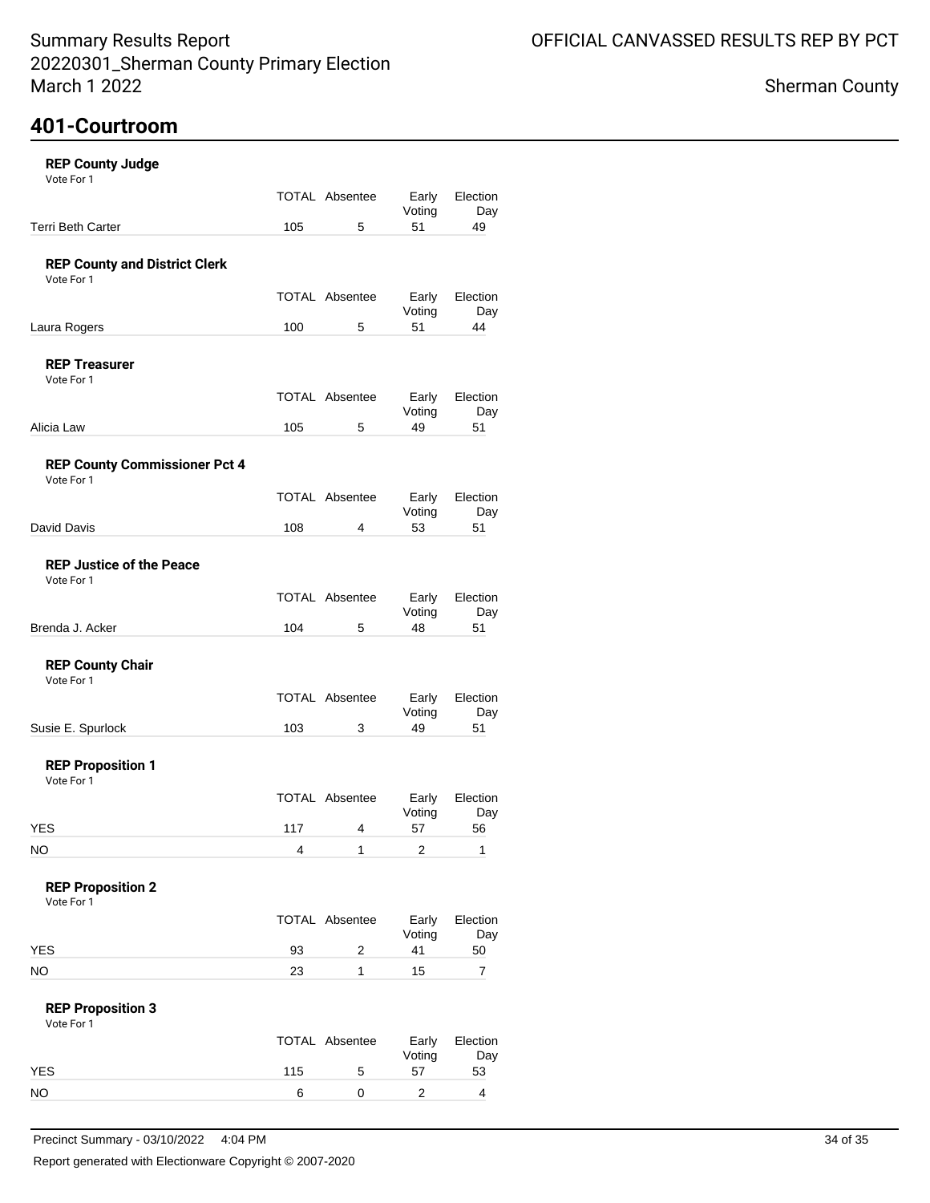## **401-Courtroom**

| <b>REP County Judge</b>                            |     |                       |                 |                 |
|----------------------------------------------------|-----|-----------------------|-----------------|-----------------|
| Vote For 1                                         |     | <b>TOTAL Absentee</b> | Early<br>Voting | Election<br>Day |
| <b>Terri Beth Carter</b>                           | 105 | 5                     | 51              | 49              |
| <b>REP County and District Clerk</b><br>Vote For 1 |     |                       |                 |                 |
|                                                    |     | <b>TOTAL Absentee</b> | Early<br>Voting | Election<br>Day |
| Laura Rogers                                       | 100 | 5                     | 51              | 44              |
| <b>REP Treasurer</b><br>Vote For 1                 |     |                       |                 |                 |
|                                                    |     | <b>TOTAL Absentee</b> | Early<br>Voting | Election<br>Day |
| Alicia Law                                         | 105 | 5                     | 49              | 51              |
| <b>REP County Commissioner Pct 4</b><br>Vote For 1 |     |                       |                 |                 |
|                                                    |     | <b>TOTAL Absentee</b> | Early<br>Voting | Election<br>Day |
| David Davis                                        | 108 | 4                     | 53              | 51              |
| <b>REP Justice of the Peace</b><br>Vote For 1      |     |                       |                 |                 |
|                                                    |     | <b>TOTAL Absentee</b> | Early<br>Voting | Election<br>Day |
| Brenda J. Acker                                    | 104 | 5                     | 48              | 51              |
| <b>REP County Chair</b><br>Vote For 1              |     |                       |                 |                 |
|                                                    |     | <b>TOTAL Absentee</b> | Early<br>Voting | Election<br>Day |
| Susie E. Spurlock                                  | 103 | 3                     | 49              | 51              |
| <b>REP Proposition 1</b><br>Vote For 1             |     |                       |                 |                 |
|                                                    |     | <b>TOTAL Absentee</b> | Early<br>Voting | Election<br>Day |
| <b>YES</b>                                         | 117 | 4                     | 57              | 56              |
| NO                                                 | 4   | 1                     | 2               | 1               |
| <b>REP Proposition 2</b><br>Vote For 1             |     |                       |                 |                 |
|                                                    |     | <b>TOTAL Absentee</b> | Early<br>Voting | Election<br>Day |
| <b>YES</b>                                         | 93  | 2                     | 41              | 50              |
| NO.                                                | 23  | 1                     | 15              | 7               |
| <b>REP Proposition 3</b><br>Vote For 1             |     |                       |                 |                 |
|                                                    |     | TOTAL Absentee        | Early<br>Voting | Election<br>Day |
| <b>YES</b>                                         | 115 | 5                     | 57              | 53              |
| <b>NO</b>                                          | 6   | 0                     | $\overline{c}$  | 4               |